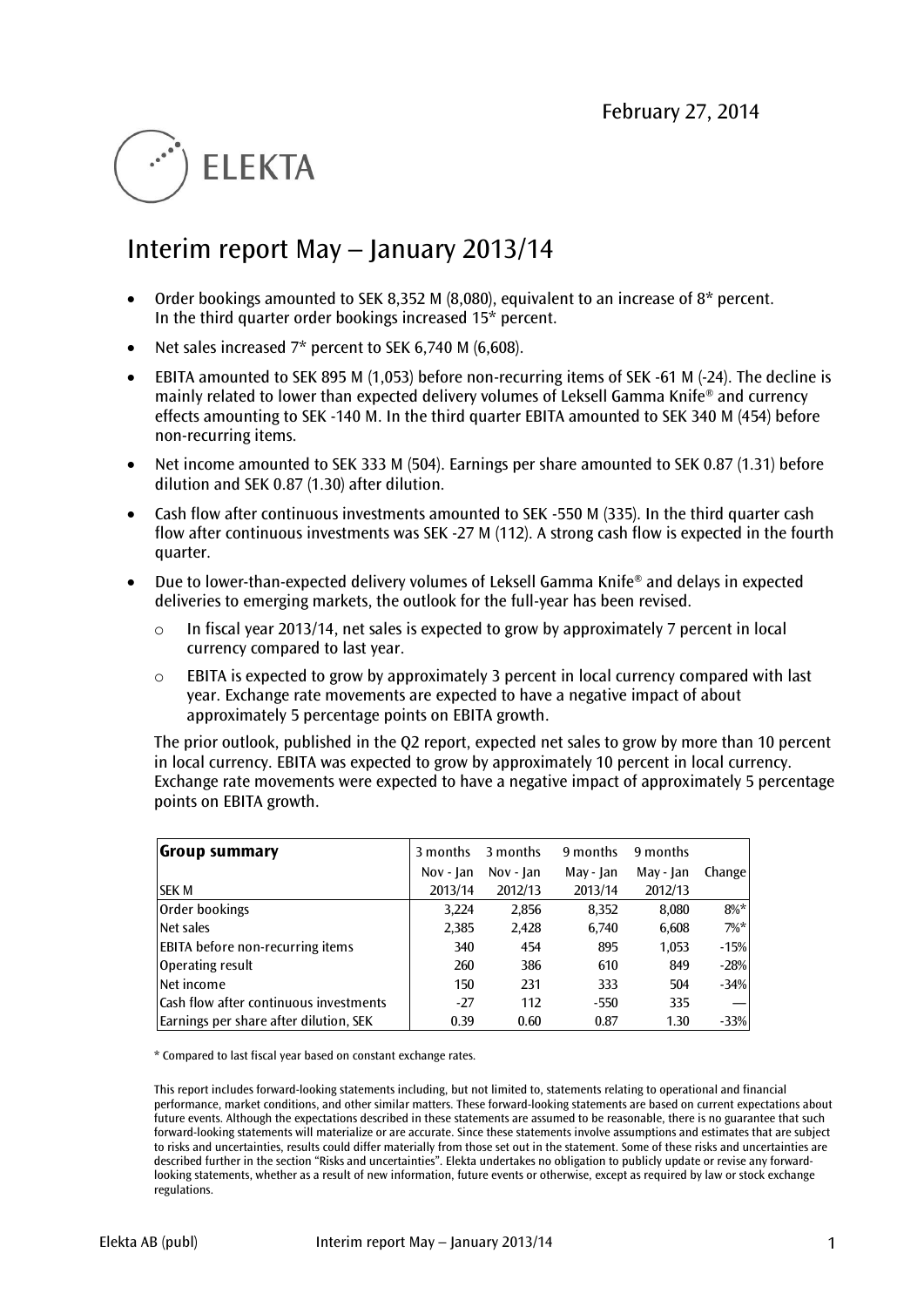# **ELEKTA**

# Interim report May – January 2013/14

- Order bookings amounted to SEK 8,352 M (8,080), equivalent to an increase of 8\* percent. In the third quarter order bookings increased 15\* percent.
- Net sales increased 7\* percent to SEK 6,740 M (6,608).
- EBITA amounted to SEK 895 M (1,053) before non-recurring items of SEK -61 M (-24). The decline is mainly related to lower than expected delivery volumes of Leksell Gamma Knife® and currency effects amounting to SEK -140 M. In the third quarter EBITA amounted to SEK 340 M (454) before non-recurring items.
- Net income amounted to SEK 333 M (504). Earnings per share amounted to SEK 0.87 (1.31) before dilution and SEK 0.87 (1.30) after dilution.
- Cash flow after continuous investments amounted to SEK -550 M (335). In the third quarter cash flow after continuous investments was SEK -27 M (112). A strong cash flow is expected in the fourth quarter.
- Due to lower-than-expected delivery volumes of Leksell Gamma Knife<sup>®</sup> and delays in expected deliveries to emerging markets, the outlook for the full-year has been revised.
	- o In fiscal year 2013/14, net sales is expected to grow by approximately 7 percent in local currency compared to last year.
	- $\circ$  EBITA is expected to grow by approximately 3 percent in local currency compared with last year. Exchange rate movements are expected to have a negative impact of about approximately 5 percentage points on EBITA growth.

The prior outlook, published in the Q2 report, expected net sales to grow by more than 10 percent in local currency. EBITA was expected to grow by approximately 10 percent in local currency. Exchange rate movements were expected to have a negative impact of approximately 5 percentage points on EBITA growth.

| Group summary                           | 3 months  | 3 months    | 9 months  | 9 months  |         |
|-----------------------------------------|-----------|-------------|-----------|-----------|---------|
|                                         | Nov - Jan | Nov - $lan$ | May - Jan | May - Jan | Change  |
| <b>SEK M</b>                            | 2013/14   | 2012/13     | 2013/14   | 2012/13   |         |
| Order bookings                          | 3,224     | 2,856       | 8.352     | 8,080     | $8\%*$  |
| Net sales                               | 2,385     | 2,428       | 6.740     | 6,608     | $7\%$ * |
| <b>EBITA</b> before non-recurring items | 340       | 454         | 895       | 1,053     | $-15%$  |
| Operating result                        | 260       | 386         | 610       | 849       | $-28%$  |
| Net income                              | 150       | 231         | 333       | 504       | $-34%$  |
| Cash flow after continuous investments  | $-27$     | 112         | $-550$    | 335       |         |
| Earnings per share after dilution, SEK  | 0.39      | 0.60        | 0.87      | 1.30      | $-33%$  |

\* Compared to last fiscal year based on constant exchange rates.

This report includes forward-looking statements including, but not limited to, statements relating to operational and financial performance, market conditions, and other similar matters. These forward-looking statements are based on current expectations about future events. Although the expectations described in these statements are assumed to be reasonable, there is no guarantee that such forward-looking statements will materialize or are accurate. Since these statements involve assumptions and estimates that are subject to risks and uncertainties, results could differ materially from those set out in the statement. Some of these risks and uncertainties are described further in the section "Risks and uncertainties". Elekta undertakes no obligation to publicly update or revise any forwardlooking statements, whether as a result of new information, future events or otherwise, except as required by law or stock exchange regulations.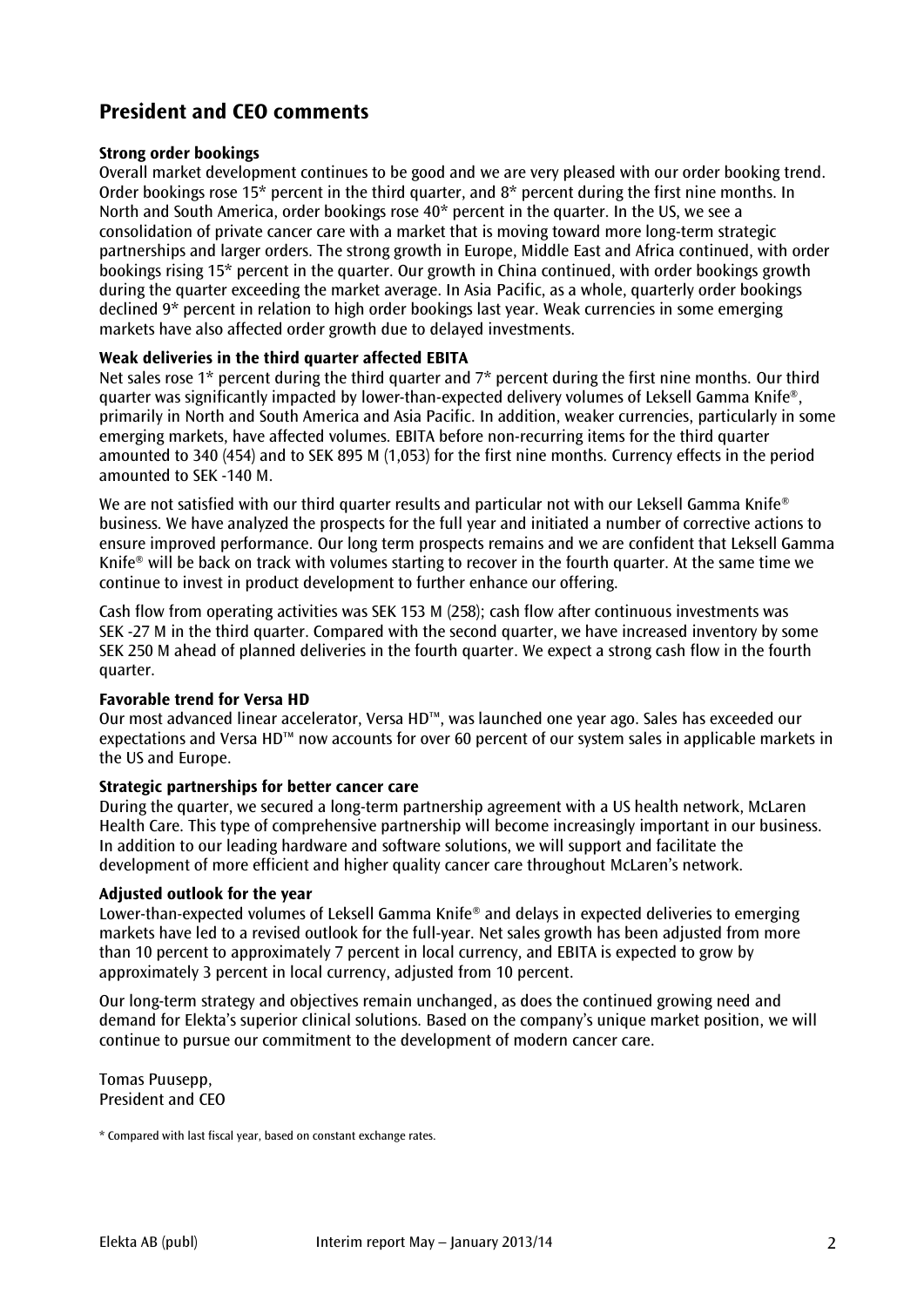# **President and CEO comments**

# **Strong order bookings**

Overall market development continues to be good and we are very pleased with our order booking trend. Order bookings rose 15\* percent in the third quarter, and 8\* percent during the first nine months. In North and South America, order bookings rose 40\* percent in the quarter. In the US, we see a consolidation of private cancer care with a market that is moving toward more long-term strategic partnerships and larger orders. The strong growth in Europe, Middle East and Africa continued, with order bookings rising 15\* percent in the quarter. Our growth in China continued, with order bookings growth during the quarter exceeding the market average. In Asia Pacific, as a whole, quarterly order bookings declined 9\* percent in relation to high order bookings last year. Weak currencies in some emerging markets have also affected order growth due to delayed investments.

# **Weak deliveries in the third quarter affected EBITA**

Net sales rose 1<sup>\*</sup> percent during the third quarter and 7<sup>\*</sup> percent during the first nine months. Our third quarter was significantly impacted by lower-than-expected delivery volumes of Leksell Gamma Knife®, primarily in North and South America and Asia Pacific. In addition, weaker currencies, particularly in some emerging markets, have affected volumes. EBITA before non-recurring items for the third quarter amounted to 340 (454) and to SEK 895 M (1,053) for the first nine months. Currency effects in the period amounted to SEK -140 M.

We are not satisfied with our third quarter results and particular not with our Leksell Gamma Knife® business. We have analyzed the prospects for the full year and initiated a number of corrective actions to ensure improved performance. Our long term prospects remains and we are confident that Leksell Gamma Knife® will be back on track with volumes starting to recover in the fourth quarter. At the same time we continue to invest in product development to further enhance our offering.

Cash flow from operating activities was SEK 153 M (258); cash flow after continuous investments was SEK -27 M in the third quarter. Compared with the second quarter, we have increased inventory by some SEK 250 M ahead of planned deliveries in the fourth quarter. We expect a strong cash flow in the fourth quarter.

# **Favorable trend for Versa HD**

Our most advanced linear accelerator, Versa HD™, was launched one year ago. Sales has exceeded our expectations and Versa HD™ now accounts for over 60 percent of our system sales in applicable markets in the US and Europe.

# **Strategic partnerships for better cancer care**

During the quarter, we secured a long-term partnership agreement with a US health network, McLaren Health Care. This type of comprehensive partnership will become increasingly important in our business. In addition to our leading hardware and software solutions, we will support and facilitate the development of more efficient and higher quality cancer care throughout McLaren's network.

# **Adjusted outlook for the year**

Lower-than-expected volumes of Leksell Gamma Knife® and delays in expected deliveries to emerging markets have led to a revised outlook for the full-year. Net sales growth has been adjusted from more than 10 percent to approximately 7 percent in local currency, and EBITA is expected to grow by approximately 3 percent in local currency, adjusted from 10 percent.

Our long-term strategy and objectives remain unchanged, as does the continued growing need and demand for Elekta's superior clinical solutions. Based on the company's unique market position, we will continue to pursue our commitment to the development of modern cancer care.

Tomas Puusepp, President and CEO

<sup>\*</sup> Compared with last fiscal year, based on constant exchange rates.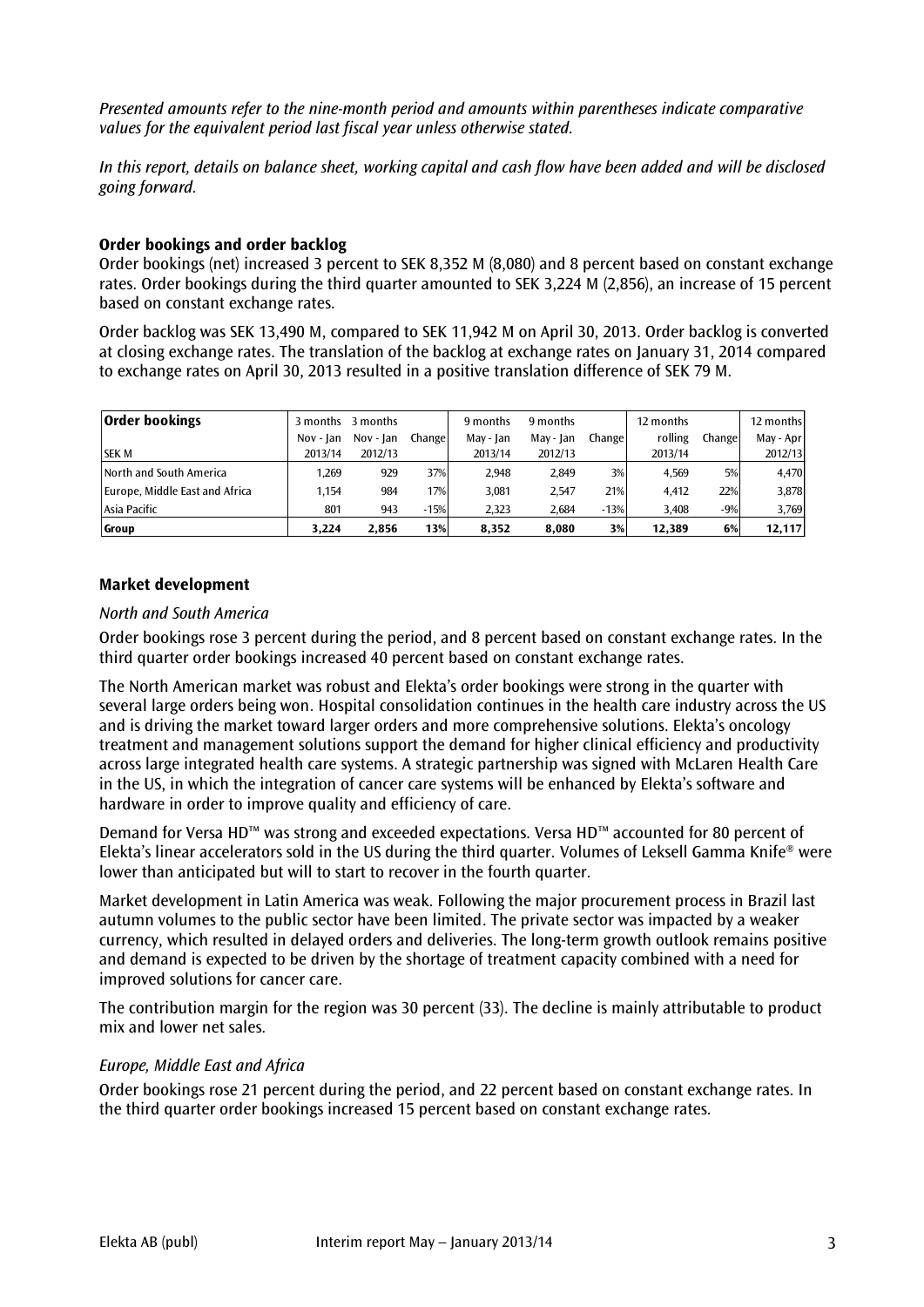*Presented amounts refer to the nine-month period and amounts within parentheses indicate comparative values for the equivalent period last fiscal year unless otherwise stated.*

*In this report, details on balance sheet, working capital and cash flow have been added and will be disclosed going forward.*

# **Order bookings and order backlog**

Order bookings (net) increased 3 percent to SEK 8,352 M (8,080) and 8 percent based on constant exchange rates. Order bookings during the third quarter amounted to SEK 3,224 M (2,856), an increase of 15 percent based on constant exchange rates.

Order backlog was SEK 13,490 M, compared to SEK 11,942 M on April 30, 2013. Order backlog is converted at closing exchange rates. The translation of the backlog at exchange rates on January 31, 2014 compared to exchange rates on April 30, 2013 resulted in a positive translation difference of SEK 79 M.

| <b>Order bookings</b>          | 3 months  | 3 months  |         | 9 months  | 9 months  |        | 12 months |        | 12 months |
|--------------------------------|-----------|-----------|---------|-----------|-----------|--------|-----------|--------|-----------|
|                                | Nov - Ian | Nov - Jan | Changel | May - Jan | May - Jan | Change | rolling   | Change | May - Apr |
| <b>SEK M</b>                   | 2013/14   | 2012/13   |         | 2013/14   | 2012/13   |        | 2013/14   |        | 2012/13   |
| North and South America        | 1,269     | 929       | 37%     | 2.948     | 2.849     | 3%     | 4.569     | 5%     | 4,470     |
| Europe, Middle East and Africa | 1.154     | 984       | 17%     | 3.081     | 2,547     | 21%    | 4.412     | 22%    | 3,878     |
| Asia Pacific                   | 801       | 943       | $-15%$  | 2,323     | 2,684     | $-13%$ | 3,408     | $-9%$  | 3,769     |
| Group                          | 3,224     | 2,856     | 13%     | 8,352     | 8,080     | 3%     | 12.389    | 6%     | 12,117    |

# **Market development**

# *North and South America*

Order bookings rose 3 percent during the period, and 8 percent based on constant exchange rates. In the third quarter order bookings increased 40 percent based on constant exchange rates.

The North American market was robust and Elekta's order bookings were strong in the quarter with several large orders being won. Hospital consolidation continues in the health care industry across the US and is driving the market toward larger orders and more comprehensive solutions. Elekta's oncology treatment and management solutions support the demand for higher clinical efficiency and productivity across large integrated health care systems. A strategic partnership was signed with McLaren Health Care in the US, in which the integration of cancer care systems will be enhanced by Elekta's software and hardware in order to improve quality and efficiency of care.

Demand for Versa HD™ was strong and exceeded expectations. Versa HD™ accounted for 80 percent of Elekta's linear accelerators sold in the US during the third quarter. Volumes of Leksell Gamma Knife® were lower than anticipated but will to start to recover in the fourth quarter.

Market development in Latin America was weak. Following the major procurement process in Brazil last autumn volumes to the public sector have been limited. The private sector was impacted by a weaker currency, which resulted in delayed orders and deliveries. The long-term growth outlook remains positive and demand is expected to be driven by the shortage of treatment capacity combined with a need for improved solutions for cancer care.

The contribution margin for the region was 30 percent (33). The decline is mainly attributable to product mix and lower net sales.

# *Europe, Middle East and Africa*

Order bookings rose 21 percent during the period, and 22 percent based on constant exchange rates. In the third quarter order bookings increased 15 percent based on constant exchange rates.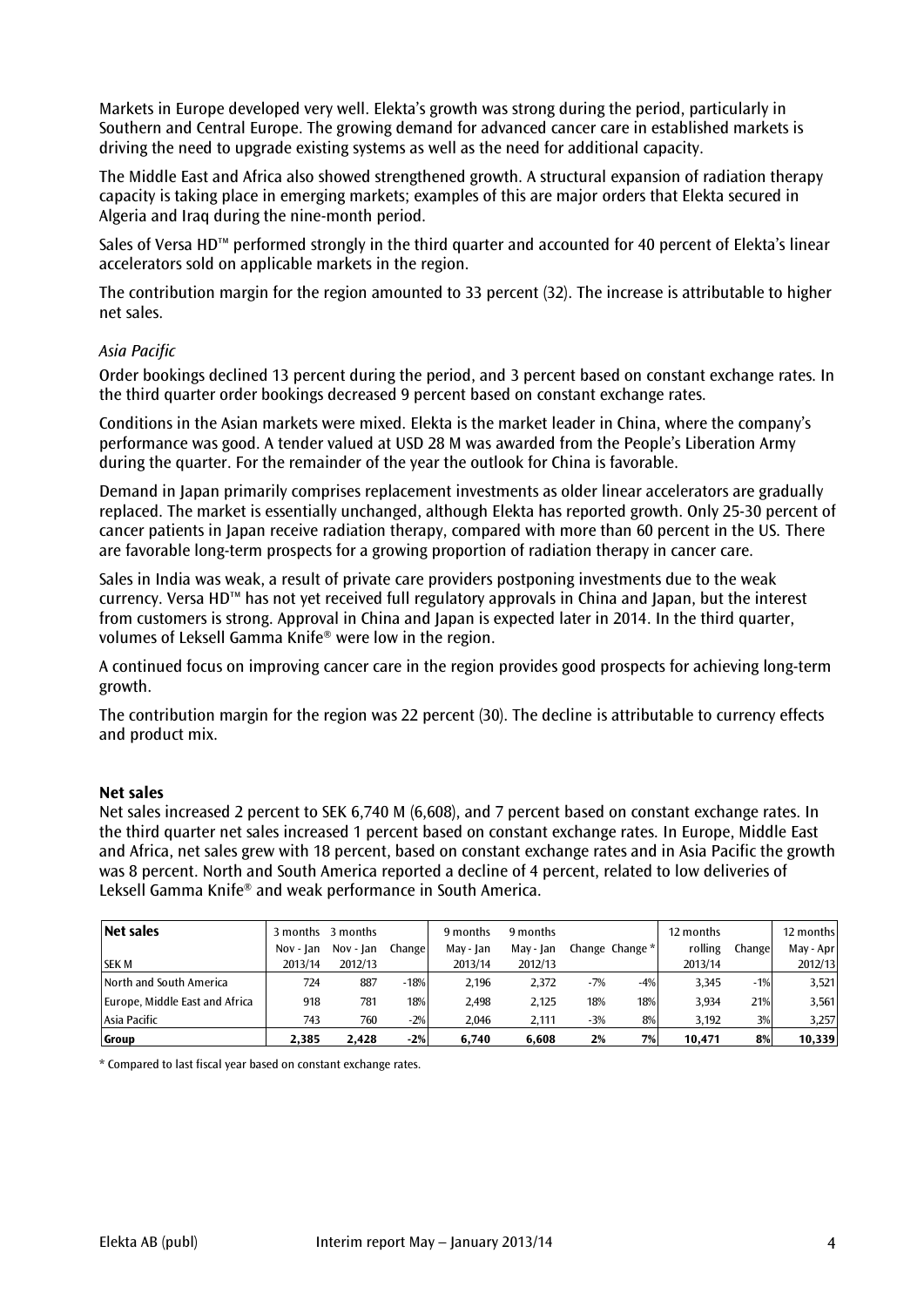Markets in Europe developed very well. Elekta's growth was strong during the period, particularly in Southern and Central Europe. The growing demand for advanced cancer care in established markets is driving the need to upgrade existing systems as well as the need for additional capacity.

The Middle East and Africa also showed strengthened growth. A structural expansion of radiation therapy capacity is taking place in emerging markets; examples of this are major orders that Elekta secured in Algeria and Iraq during the nine-month period.

Sales of Versa HD™ performed strongly in the third quarter and accounted for 40 percent of Elekta's linear accelerators sold on applicable markets in the region.

The contribution margin for the region amounted to 33 percent (32). The increase is attributable to higher net sales.

# *Asia Pacific*

Order bookings declined 13 percent during the period, and 3 percent based on constant exchange rates. In the third quarter order bookings decreased 9 percent based on constant exchange rates.

Conditions in the Asian markets were mixed. Elekta is the market leader in China, where the company's performance was good. A tender valued at USD 28 M was awarded from the People's Liberation Army during the quarter. For the remainder of the year the outlook for China is favorable.

Demand in Japan primarily comprises replacement investments as older linear accelerators are gradually replaced. The market is essentially unchanged, although Elekta has reported growth. Only 25-30 percent of cancer patients in Japan receive radiation therapy, compared with more than 60 percent in the US. There are favorable long-term prospects for a growing proportion of radiation therapy in cancer care.

Sales in India was weak, a result of private care providers postponing investments due to the weak currency. Versa HD™ has not yet received full regulatory approvals in China and Japan, but the interest from customers is strong. Approval in China and Japan is expected later in 2014. In the third quarter, volumes of Leksell Gamma Knife® were low in the region.

A continued focus on improving cancer care in the region provides good prospects for achieving long-term growth.

The contribution margin for the region was 22 percent (30). The decline is attributable to currency effects and product mix.

# **Net sales**

Net sales increased 2 percent to SEK 6,740 M (6,608), and 7 percent based on constant exchange rates. In the third quarter net sales increased 1 percent based on constant exchange rates. In Europe, Middle East and Africa, net sales grew with 18 percent, based on constant exchange rates and in Asia Pacific the growth was 8 percent. North and South America reported a decline of 4 percent, related to low deliveries of Leksell Gamma Knife® and weak performance in South America.

| Net sales                      |           | 3 months 3 months |         | 9 months  | 9 months  |       |                 | 12 months |        | 12 months |
|--------------------------------|-----------|-------------------|---------|-----------|-----------|-------|-----------------|-----------|--------|-----------|
|                                | Nov - Ian | Nov - Jan         | Changel | May - Jan | May - Jan |       | Change Change * | rolling   | Change | May - Apr |
| <b>SEK M</b>                   | 2013/14   | 2012/13           |         | 2013/14   | 2012/13   |       |                 | 2013/14   |        | 2012/13   |
| North and South America        | 724       | 887               | $-18%$  | 2.196     | 2,372     | $-7%$ | $-4%$           | 3.345     | $-1%$  | 3,521     |
| Europe, Middle East and Africa | 918       | 781               | 18%     | 2,498     | 2.125     | 18%   | 18%             | 3.934     | 21%    | 3,561     |
| Asia Pacific                   | 743       | 760               | $-2%$   | 2.046     | 2.111     | $-3%$ | 8%              | 3.192     | 3%     | 3,257     |
| Group                          | 2,385     | 2.428             | $-2%$   | 6,740     | 6.608     | 2%    | 7%              | 10,471    | 8%     | 10,339    |

\* Compared to last fiscal year based on constant exchange rates.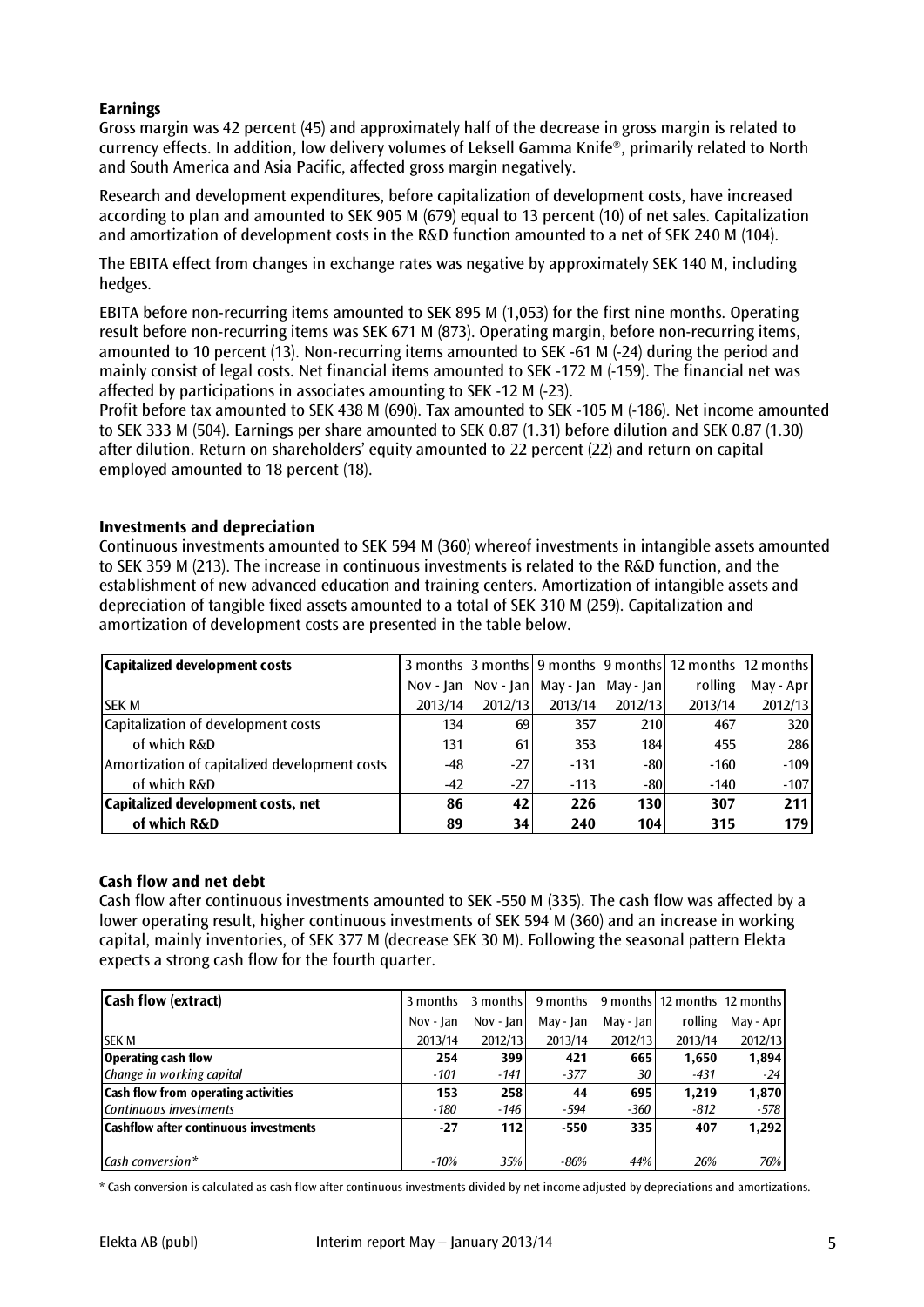# **Earnings**

Gross margin was 42 percent (45) and approximately half of the decrease in gross margin is related to currency effects. In addition, low delivery volumes of Leksell Gamma Knife®, primarily related to North and South America and Asia Pacific, affected gross margin negatively.

Research and development expenditures, before capitalization of development costs, have increased according to plan and amounted to SEK 905 M (679) equal to 13 percent (10) of net sales. Capitalization and amortization of development costs in the R&D function amounted to a net of SEK 240 M (104).

The EBITA effect from changes in exchange rates was negative by approximately SEK 140 M, including hedges.

EBITA before non-recurring items amounted to SEK 895 M (1,053) for the first nine months. Operating result before non-recurring items was SEK 671 M (873). Operating margin, before non-recurring items, amounted to 10 percent (13). Non-recurring items amounted to SEK -61 M (-24) during the period and mainly consist of legal costs. Net financial items amounted to SEK -172 M (-159). The financial net was affected by participations in associates amounting to SEK -12 M (-23).

Profit before tax amounted to SEK 438 M (690). Tax amounted to SEK -105 M (-186). Net income amounted to SEK 333 M (504). Earnings per share amounted to SEK 0.87 (1.31) before dilution and SEK 0.87 (1.30) after dilution. Return on shareholders' equity amounted to 22 percent (22) and return on capital employed amounted to 18 percent (18).

# **Investments and depreciation**

Continuous investments amounted to SEK 594 M (360) whereof investments in intangible assets amounted to SEK 359 M (213). The increase in continuous investments is related to the R&D function, and the establishment of new advanced education and training centers. Amortization of intangible assets and depreciation of tangible fixed assets amounted to a total of SEK 310 M (259). Capitalization and amortization of development costs are presented in the table below.

| Capitalized development costs                 |         |         |                                           |            | 3 months 3 months 9 months 9 months 12 months 12 months |           |
|-----------------------------------------------|---------|---------|-------------------------------------------|------------|---------------------------------------------------------|-----------|
|                                               |         |         | Nov - Jan Nov - Jan   May - Jan May - Jan |            | rolling                                                 | May - Apr |
| <b>SEK M</b>                                  | 2013/14 | 2012/13 | 2013/14                                   | 2012/13    | 2013/14                                                 | 2012/13   |
| Capitalization of development costs           | 134     | 69      | 357                                       | <b>210</b> | 467                                                     | 320       |
| of which R&D                                  | 131     | 61      | 353                                       | 184 l      | 455                                                     | 286       |
| Amortization of capitalized development costs | -48     | $-27$   | $-131$                                    | $-801$     | $-160$                                                  | $-109$    |
| of which R&D                                  | $-42$   | $-27$   | $-113$                                    | $-801$     | $-140$                                                  | $-107$    |
| Capitalized development costs, net            | 86      | 42      | 226                                       | 130 l      | 307                                                     | 211       |
| of which R&D                                  | 89      | 34      | 240                                       | 104        | 315                                                     | 179       |

# **Cash flow and net debt**

Cash flow after continuous investments amounted to SEK -550 M (335). The cash flow was affected by a lower operating result, higher continuous investments of SEK 594 M (360) and an increase in working capital, mainly inventories, of SEK 377 M (decrease SEK 30 M). Following the seasonal pattern Elekta expects a strong cash flow for the fourth quarter.

| <b>Cash flow (extract)</b>                   | 3 months  | 3 months  | 9 months  |           | 9 months 12 months 12 months |           |
|----------------------------------------------|-----------|-----------|-----------|-----------|------------------------------|-----------|
|                                              | Nov - Jan | Nov - Jan | May - Jan | May - Jan | rolling                      | May - Apr |
| <b>SEK M</b>                                 | 2013/14   | 2012/13   | 2013/14   | 2012/13   | 2013/14                      | 2012/13   |
| <b>Operating cash flow</b>                   | 254       | 399       | 421       | 665       | 1,650                        | 1,894     |
| Change in working capital                    | $-101$    | $-141$    | $-377$    | 30        | $-431$                       | -24       |
| <b>Cash flow from operating activities</b>   | 153       | 258       | 44        | 695       | 1.219                        | 1,870     |
| Continuous investments                       | -180      | -146      | -594      | $-360$    | $-812$                       | -578      |
| <b>Cashflow after continuous investments</b> | $-27$     | 112       | $-550$    | 335       | 407                          | 1,292     |
|                                              |           |           |           |           |                              |           |
| Cash conversion*                             | $-10%$    | 35%       | $-86%$    | 44%       | 26%                          | 76%       |

\* Cash conversion is calculated as cash flow after continuous investments divided by net income adjusted by depreciations and amortizations.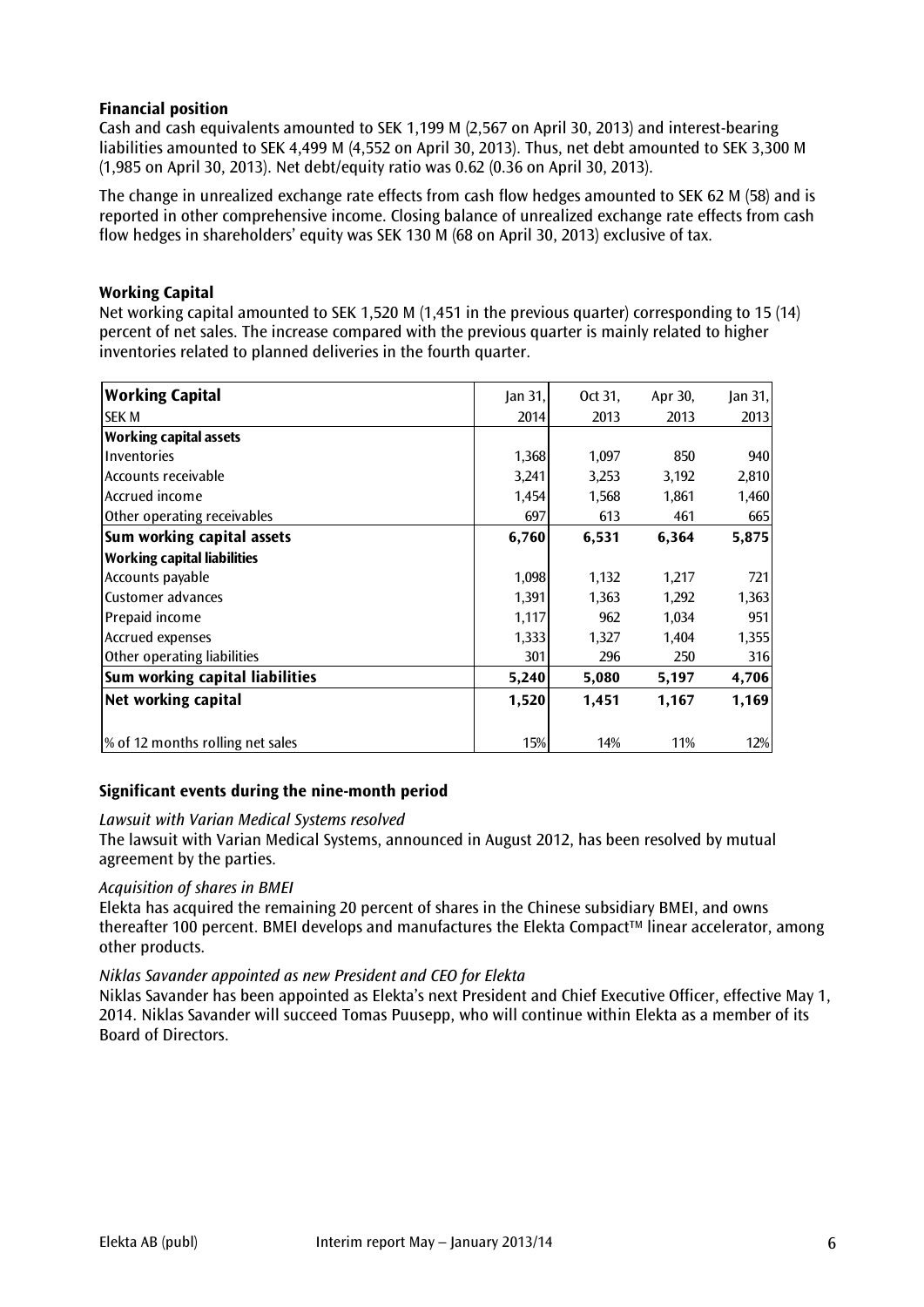# **Financial position**

Cash and cash equivalents amounted to SEK 1,199 M (2,567 on April 30, 2013) and interest-bearing liabilities amounted to SEK 4,499 M (4,552 on April 30, 2013). Thus, net debt amounted to SEK 3,300 M (1,985 on April 30, 2013). Net debt/equity ratio was 0.62 (0.36 on April 30, 2013).

The change in unrealized exchange rate effects from cash flow hedges amounted to SEK 62 M (58) and is reported in other comprehensive income. Closing balance of unrealized exchange rate effects from cash flow hedges in shareholders' equity was SEK 130 M (68 on April 30, 2013) exclusive of tax.

# **Working Capital**

Net working capital amounted to SEK 1,520 M (1,451 in the previous quarter) corresponding to 15 (14) percent of net sales. The increase compared with the previous quarter is mainly related to higher inventories related to planned deliveries in the fourth quarter.

| <b>Working Capital</b>             | Jan 31, | Oct 31, | Apr 30, | Jan $31,$ |
|------------------------------------|---------|---------|---------|-----------|
| <b>SEK M</b>                       | 2014    | 2013    | 2013    | 2013      |
| <b>Working capital assets</b>      |         |         |         |           |
| Inventories                        | 1,368   | 1,097   | 850     | 940       |
| Accounts receivable                | 3,241   | 3,253   | 3,192   | 2,810     |
| Accrued income                     | 1,454   | 1,568   | 1,861   | 1,460     |
| Other operating receivables        | 697     | 613     | 461     | 665       |
| Sum working capital assets         | 6,760   | 6,531   | 6,364   | 5,875     |
| <b>Working capital liabilities</b> |         |         |         |           |
| Accounts payable                   | 1,098   | 1,132   | 1,217   | 721       |
| <b>Customer advances</b>           | 1,391   | 1,363   | 1,292   | 1,363     |
| Prepaid income                     | 1,117   | 962     | 1,034   | 951       |
| Accrued expenses                   | 1,333   | 1,327   | 1,404   | 1,355     |
| Other operating liabilities        | 301     | 296     | 250     | 316       |
| Sum working capital liabilities    | 5,240   | 5,080   | 5,197   | 4,706     |
| Net working capital                | 1,520   | 1,451   | 1,167   | 1,169     |
| % of 12 months rolling net sales   | 15%     | 14%     | 11%     | 12%       |

# **Significant events during the nine-month period**

# *Lawsuit with Varian Medical Systems resolved*

The lawsuit with Varian Medical Systems, announced in August 2012, has been resolved by mutual agreement by the parties.

# *Acquisition of shares in BMEI*

Elekta has acquired the remaining 20 percent of shares in the Chinese subsidiary BMEI, and owns thereafter 100 percent. BMEI develops and manufactures the Elekta Compact™ linear accelerator, among other products.

# *Niklas Savander appointed as new President and CEO for Elekta*

Niklas Savander has been appointed as Elekta's next President and Chief Executive Officer, effective May 1, 2014. Niklas Savander will succeed Tomas Puusepp, who will continue within Elekta as a member of its Board of Directors.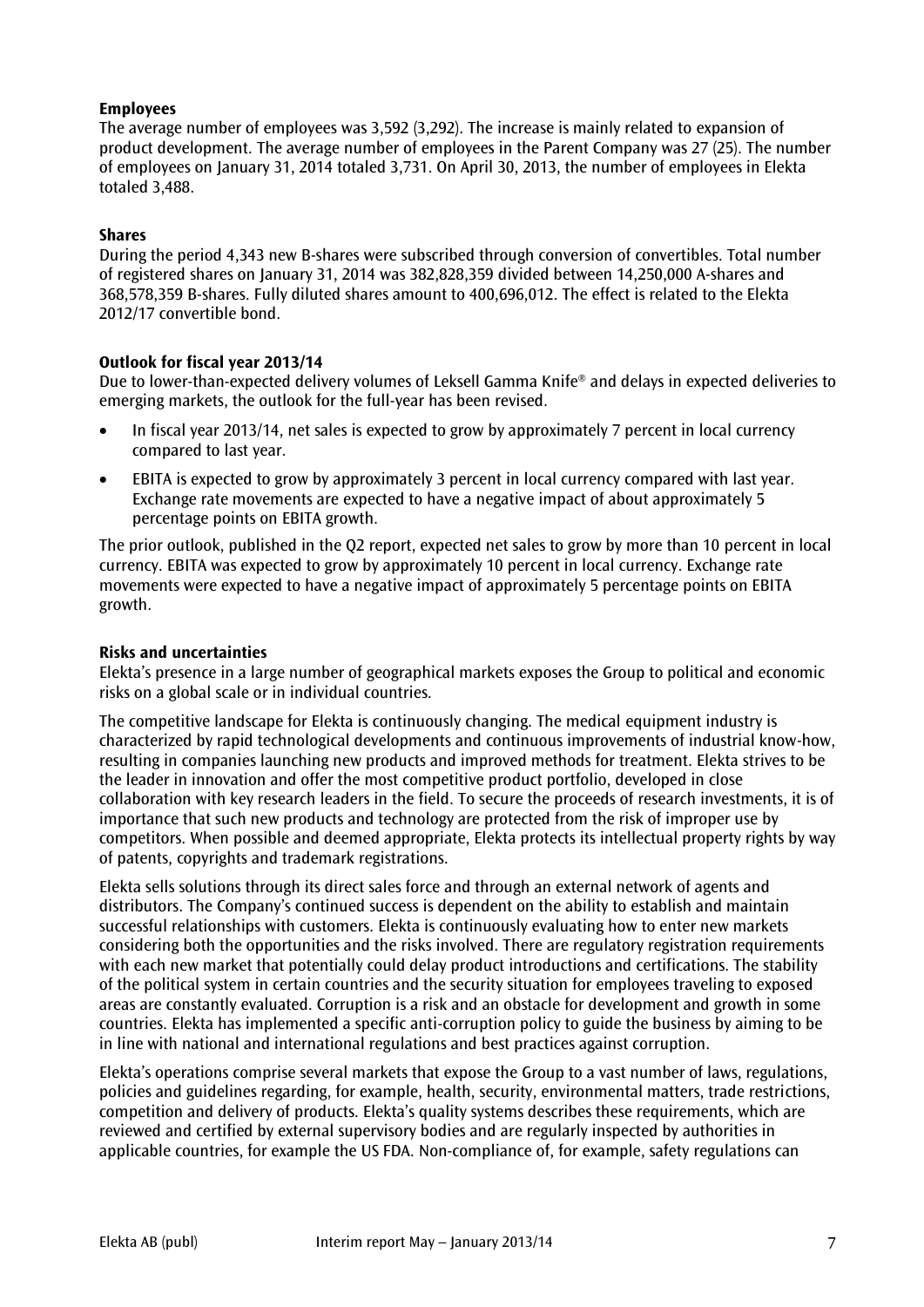# **Employees**

The average number of employees was 3,592 (3,292). The increase is mainly related to expansion of product development. The average number of employees in the Parent Company was 27 (25). The number of employees on January 31, 2014 totaled 3,731. On April 30, 2013, the number of employees in Elekta totaled 3,488.

# **Shares**

During the period 4,343 new B-shares were subscribed through conversion of convertibles. Total number of registered shares on January 31, 2014 was 382,828,359 divided between 14,250,000 A-shares and 368,578,359 B-shares. Fully diluted shares amount to 400,696,012. The effect is related to the Elekta 2012/17 convertible bond.

# **Outlook for fiscal year 2013/14**

Due to lower-than-expected delivery volumes of Leksell Gamma Knife® and delays in expected deliveries to emerging markets, the outlook for the full-year has been revised.

- In fiscal year 2013/14, net sales is expected to grow by approximately 7 percent in local currency compared to last year.
- EBITA is expected to grow by approximately 3 percent in local currency compared with last year. Exchange rate movements are expected to have a negative impact of about approximately 5 percentage points on EBITA growth.

The prior outlook, published in the Q2 report, expected net sales to grow by more than 10 percent in local currency. EBITA was expected to grow by approximately 10 percent in local currency. Exchange rate movements were expected to have a negative impact of approximately 5 percentage points on EBITA growth.

# **Risks and uncertainties**

Elekta's presence in a large number of geographical markets exposes the Group to political and economic risks on a global scale or in individual countries.

The competitive landscape for Elekta is continuously changing. The medical equipment industry is characterized by rapid technological developments and continuous improvements of industrial know-how, resulting in companies launching new products and improved methods for treatment. Elekta strives to be the leader in innovation and offer the most competitive product portfolio, developed in close collaboration with key research leaders in the field. To secure the proceeds of research investments, it is of importance that such new products and technology are protected from the risk of improper use by competitors. When possible and deemed appropriate, Elekta protects its intellectual property rights by way of patents, copyrights and trademark registrations.

Elekta sells solutions through its direct sales force and through an external network of agents and distributors. The Company's continued success is dependent on the ability to establish and maintain successful relationships with customers. Elekta is continuously evaluating how to enter new markets considering both the opportunities and the risks involved. There are regulatory registration requirements with each new market that potentially could delay product introductions and certifications. The stability of the political system in certain countries and the security situation for employees traveling to exposed areas are constantly evaluated. Corruption is a risk and an obstacle for development and growth in some countries. Elekta has implemented a specific anti-corruption policy to guide the business by aiming to be in line with national and international regulations and best practices against corruption.

Elekta's operations comprise several markets that expose the Group to a vast number of laws, regulations, policies and guidelines regarding, for example, health, security, environmental matters, trade restrictions, competition and delivery of products. Elekta's quality systems describes these requirements, which are reviewed and certified by external supervisory bodies and are regularly inspected by authorities in applicable countries, for example the US FDA. Non-compliance of, for example, safety regulations can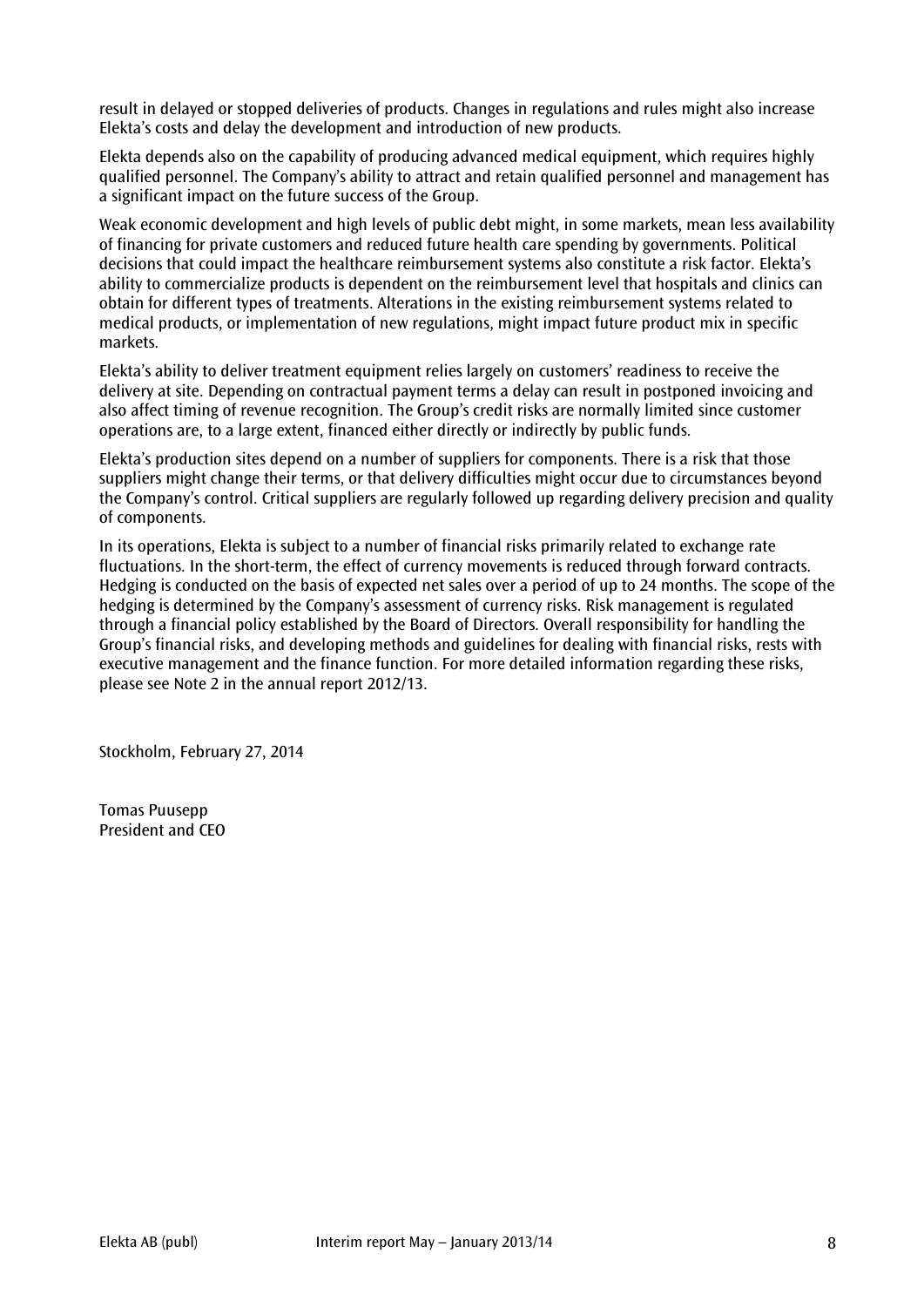result in delayed or stopped deliveries of products. Changes in regulations and rules might also increase Elekta's costs and delay the development and introduction of new products.

Elekta depends also on the capability of producing advanced medical equipment, which requires highly qualified personnel. The Company's ability to attract and retain qualified personnel and management has a significant impact on the future success of the Group.

Weak economic development and high levels of public debt might, in some markets, mean less availability of financing for private customers and reduced future health care spending by governments. Political decisions that could impact the healthcare reimbursement systems also constitute a risk factor. Elekta's ability to commercialize products is dependent on the reimbursement level that hospitals and clinics can obtain for different types of treatments. Alterations in the existing reimbursement systems related to medical products, or implementation of new regulations, might impact future product mix in specific markets.

Elekta's ability to deliver treatment equipment relies largely on customers' readiness to receive the delivery at site. Depending on contractual payment terms a delay can result in postponed invoicing and also affect timing of revenue recognition. The Group's credit risks are normally limited since customer operations are, to a large extent, financed either directly or indirectly by public funds.

Elekta's production sites depend on a number of suppliers for components. There is a risk that those suppliers might change their terms, or that delivery difficulties might occur due to circumstances beyond the Company's control. Critical suppliers are regularly followed up regarding delivery precision and quality of components.

In its operations, Elekta is subject to a number of financial risks primarily related to exchange rate fluctuations. In the short-term, the effect of currency movements is reduced through forward contracts. Hedging is conducted on the basis of expected net sales over a period of up to 24 months. The scope of the hedging is determined by the Company's assessment of currency risks. Risk management is regulated through a financial policy established by the Board of Directors. Overall responsibility for handling the Group's financial risks, and developing methods and guidelines for dealing with financial risks, rests with executive management and the finance function. For more detailed information regarding these risks, please see Note 2 in the annual report 2012/13.

Stockholm, February 27, 2014

Tomas Puusepp President and CEO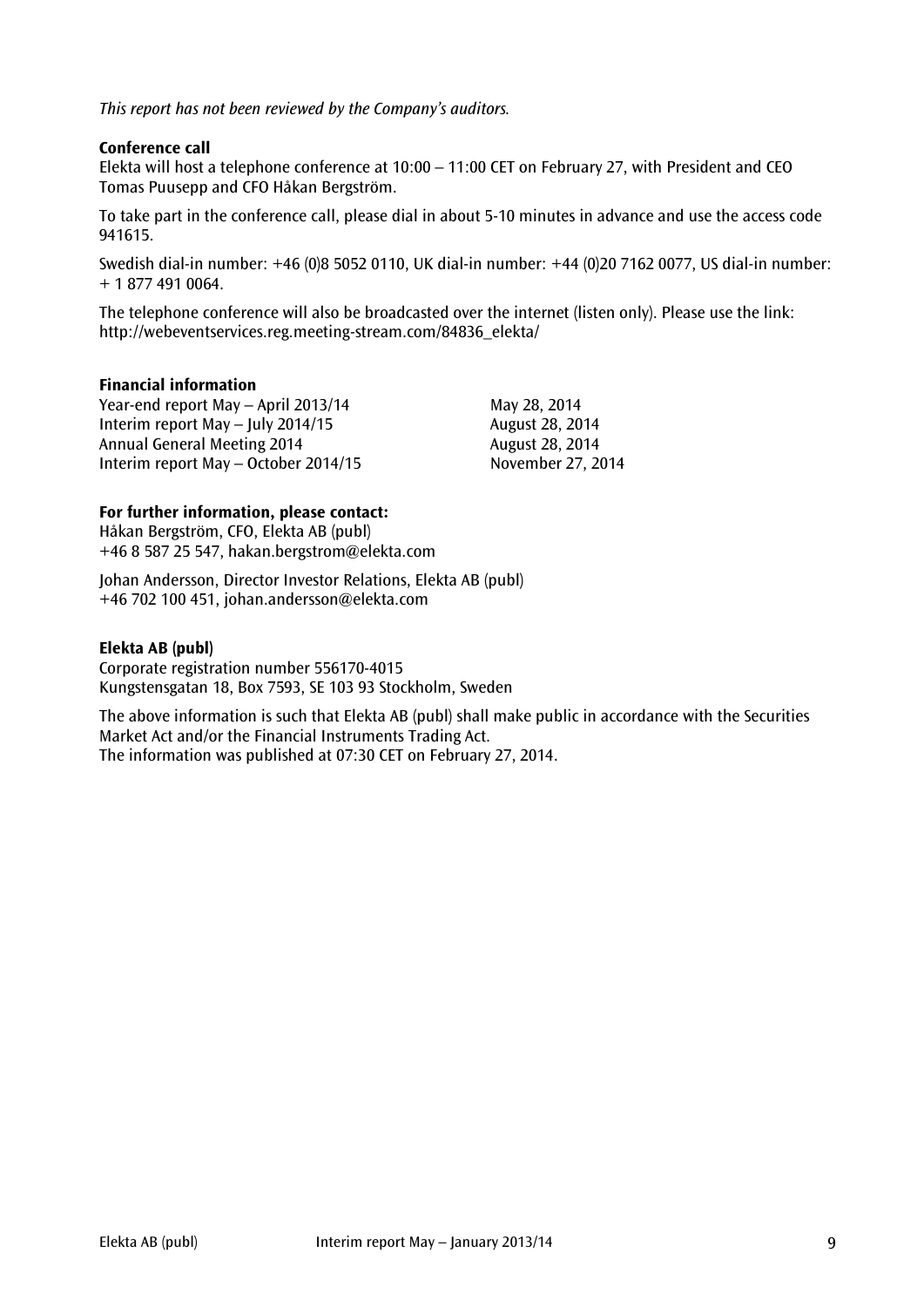*This report has not been reviewed by the Company's auditors.*

# **Conference call**

Elekta will host a telephone conference at 10:00 – 11:00 CET on February 27, with President and CEO Tomas Puusepp and CFO Håkan Bergström.

To take part in the conference call, please dial in about 5-10 minutes in advance and use the access code 941615.

Swedish dial-in number: +46 (0)8 5052 0110, UK dial-in number: +44 (0)20 7162 0077, US dial-in number: + 1 877 491 0064.

The telephone conference will also be broadcasted over the internet (listen only). Please use the link: [http://webeventservices.reg.meeting-stream.com/84836\\_elekta/](http://webeventservices.reg.meeting-stream.com/84836_elekta/)

# **Financial information**

Year-end report May – April 2013/14 May 28, 2014 Interim report May – July 2014/15 August 28, 2014 Annual General Meeting 2014 August 28, 2014 Interim report May – October 2014/15 November 27, 2014

# **For further information, please contact:**

Håkan Bergström, CFO, Elekta AB (publ) +46 8 587 25 547, hakan.bergstrom@elekta.com

Johan Andersson, Director Investor Relations, Elekta AB (publ) +46 702 100 451, [johan.andersson@elekta.com](mailto:johan.anderssonmelbi@elekta.com)

# **Elekta AB (publ)**

Corporate registration number 556170-4015 Kungstensgatan 18, Box 7593, SE 103 93 Stockholm, Sweden

The above information is such that Elekta AB (publ) shall make public in accordance with the Securities Market Act and/or the Financial Instruments Trading Act. The information was published at 07:30 CET on February 27, 2014.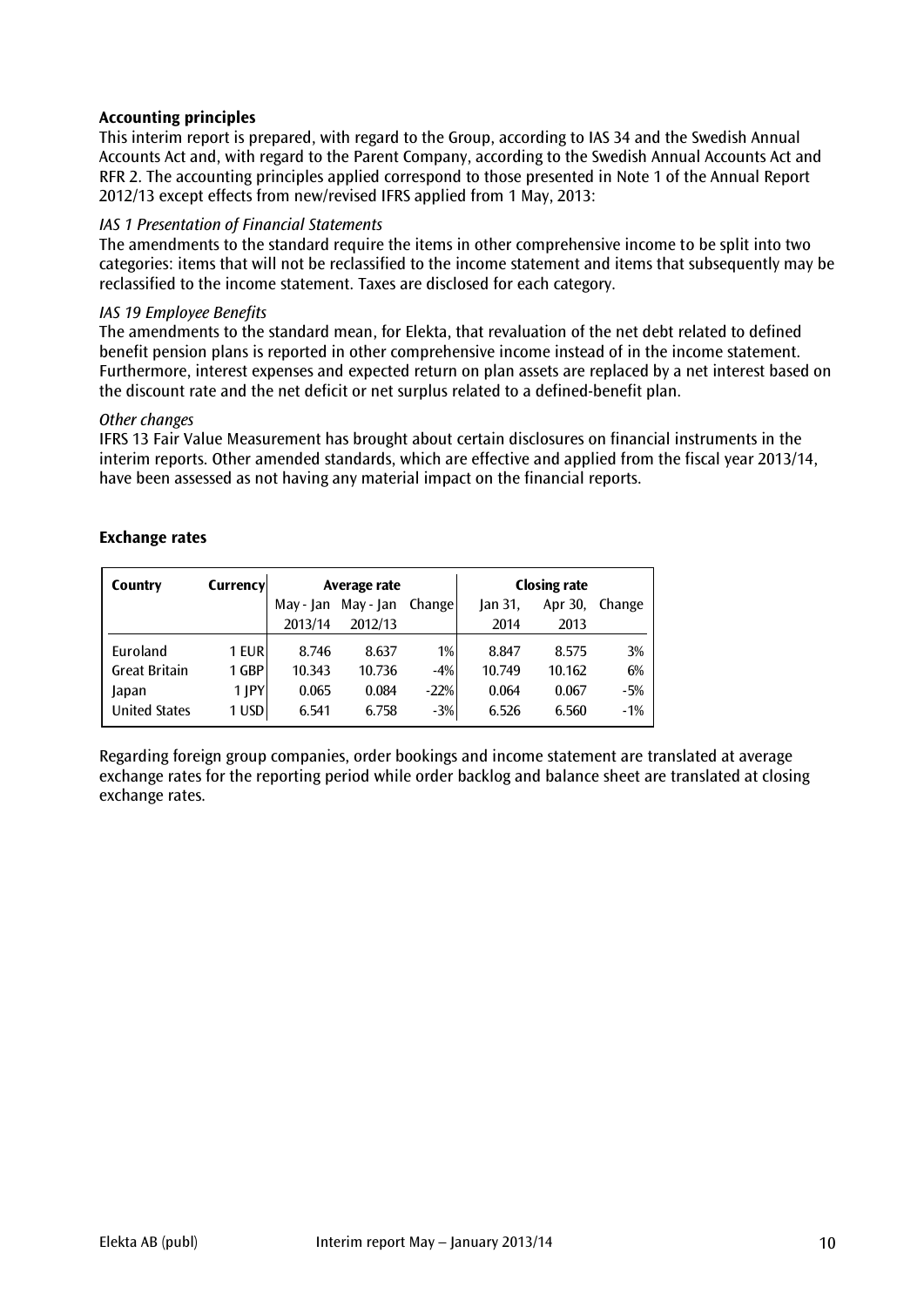# **Accounting principles**

This interim report is prepared, with regard to the Group, according to IAS 34 and the Swedish Annual Accounts Act and, with regard to the Parent Company, according to the Swedish Annual Accounts Act and RFR 2. The accounting principles applied correspond to those presented in Note 1 of the Annual Report 2012/13 except effects from new/revised IFRS applied from 1 May, 2013:

# *IAS 1 Presentation of Financial Statements*

The amendments to the standard require the items in other comprehensive income to be split into two categories: items that will not be reclassified to the income statement and items that subsequently may be reclassified to the income statement. Taxes are disclosed for each category.

# *IAS 19 Employee Benefits*

The amendments to the standard mean, for Elekta, that revaluation of the net debt related to defined benefit pension plans is reported in other comprehensive income instead of in the income statement. Furthermore, interest expenses and expected return on plan assets are replaced by a net interest based on the discount rate and the net deficit or net surplus related to a defined-benefit plan.

# *Other changes*

IFRS 13 Fair Value Measurement has brought about certain disclosures on financial instruments in the interim reports. Other amended standards, which are effective and applied from the fiscal year 2013/14, have been assessed as not having any material impact on the financial reports.

# **Exchange rates**

| Country              | Currency |           | Average rate |        |         | <b>Closing rate</b> |        |
|----------------------|----------|-----------|--------------|--------|---------|---------------------|--------|
|                      |          | May - Jan | May - Jan    | Change | lan 31. | Apr 30,             | Change |
|                      |          | 2013/14   | 2012/13      |        | 2014    | 2013                |        |
| Euroland             | 1 EUR    | 8.746     | 8.637        | 1%     | 8.847   | 8.575               | 3%     |
| <b>Great Britain</b> | 1 GBP    | 10.343    | 10.736       | $-4%$  | 10.749  | 10.162              | 6%     |
| Japan                | $1$ JPY  | 0.065     | 0.084        | $-22%$ | 0.064   | 0.067               | $-5%$  |
| <b>United States</b> | 1 USD    | 6.541     | 6.758        | $-3%$  | 6.526   | 6.560               | $-1%$  |

Regarding foreign group companies, order bookings and income statement are translated at average exchange rates for the reporting period while order backlog and balance sheet are translated at closing exchange rates.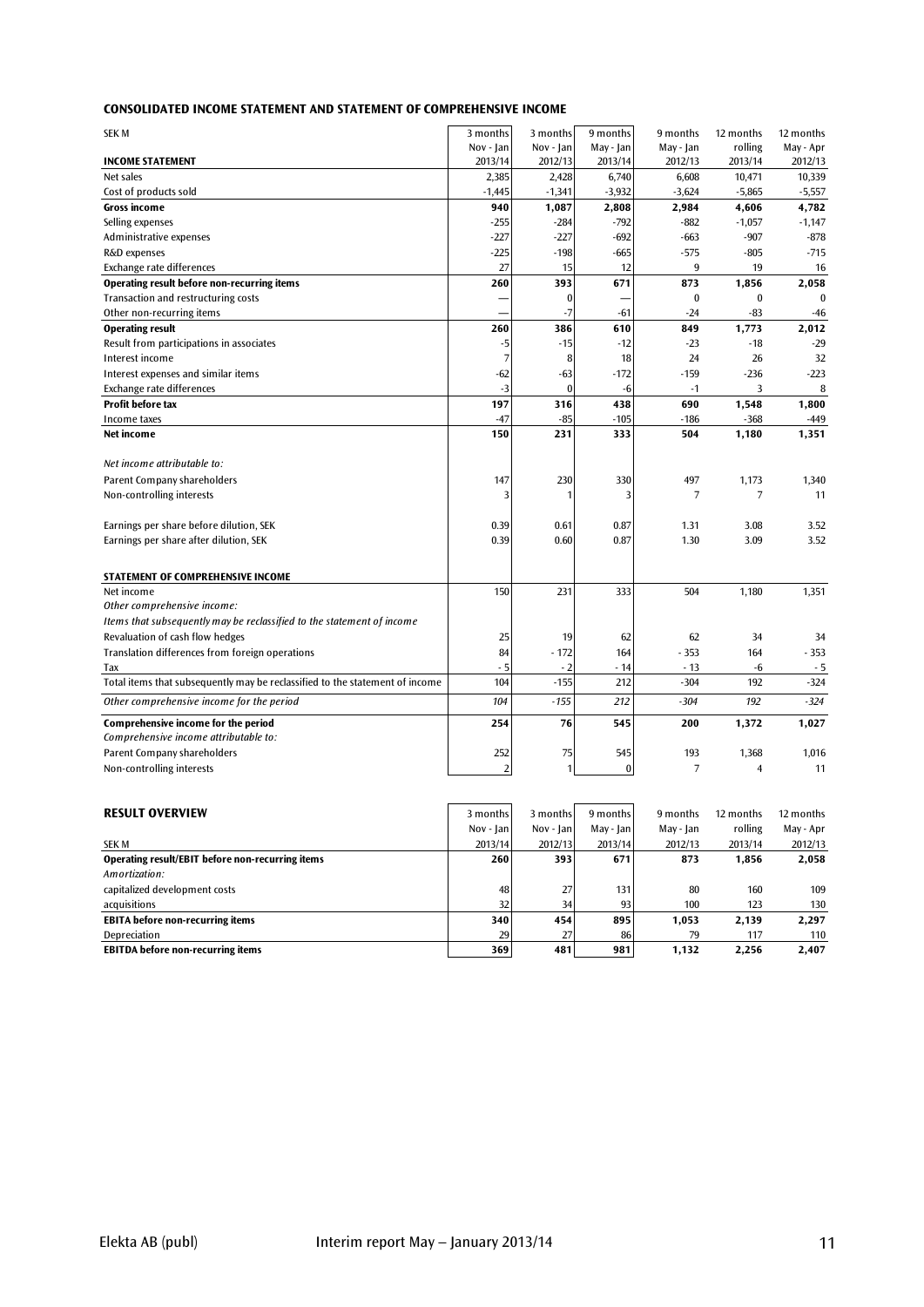| <b>CONSOLIDATED INCOME STATEMENT AND STATEMENT OF COMPREHENSIVE INCOME</b> |  |  |
|----------------------------------------------------------------------------|--|--|
|                                                                            |  |  |

| <b>SEK M</b>                                                                 | 3 months       | 3 months  | 9 months  | 9 months       | 12 months      | 12 months |
|------------------------------------------------------------------------------|----------------|-----------|-----------|----------------|----------------|-----------|
|                                                                              | Nov - Jan      | Nov - Jan | May - Jan | May - Jan      | rolling        | May - Apr |
| <b>INCOME STATEMENT</b>                                                      | 2013/14        | 2012/13   | 2013/14   | 2012/13        | 2013/14        | 2012/13   |
| Net sales                                                                    | 2,385          | 2,428     | 6,740     | 6,608          | 10,471         | 10,339    |
| Cost of products sold                                                        | $-1,445$       | $-1,341$  | $-3,932$  | $-3,624$       | $-5,865$       | $-5,557$  |
| Gross income                                                                 | 940            | 1,087     | 2,808     | 2,984          | 4,606          | 4,782     |
| Selling expenses                                                             | $-255$         | $-284$    | $-792$    | $-882$         | $-1,057$       | $-1,147$  |
| Administrative expenses                                                      | $-227$         | $-227$    | $-692$    | -663           | $-907$         | $-878$    |
| R&D expenses                                                                 | $-225$         | $-198$    | $-665$    | $-575$         | $-805$         | $-715$    |
| Exchange rate differences                                                    | 27             | 15        | 12        | 9              | 19             | 16        |
| Operating result before non-recurring items                                  | 260            | 393       | 671       | 873            | 1,856          | 2,058     |
| Transaction and restructuring costs                                          |                | $\bf{0}$  |           | $\bf{0}$       | $\bf{0}$       | $\bf{0}$  |
| Other non-recurring items                                                    |                | $-7$      | $-61$     | $-24$          | -83            | $-46$     |
| <b>Operating result</b>                                                      | 260            | 386       | 610       | 849            | 1,773          | 2,012     |
| Result from participations in associates                                     | $-5$           | $-15$     | $-12$     | $-23$          | $-18$          | $-29$     |
| Interest income                                                              | 7              | 8         | 18        | 24             | 26             | 32        |
| Interest expenses and similar items                                          | -62            | -63       | $-172$    | $-159$         | $-236$         | $-223$    |
| Exchange rate differences                                                    | $-3$           | $\bf{0}$  | -6        | $-1$           | 3              | 8         |
| <b>Profit before tax</b>                                                     | 197            | 316       | 438       | 690            | 1,548          | 1,800     |
| Income taxes                                                                 | $-47$          | $-85$     | $-105$    | $-186$         | $-368$         | $-449$    |
| Net income                                                                   | 150            | 231       | 333       | 504            | 1,180          | 1,351     |
| Net income attributable to:                                                  |                |           |           |                |                |           |
| Parent Company shareholders                                                  | 147            | 230       | 330       | 497            | 1,173          | 1,340     |
| Non-controlling interests                                                    | 3              |           | 3         | $\overline{7}$ | 7              | 11        |
|                                                                              |                |           |           |                |                |           |
| Earnings per share before dilution, SEK                                      | 0.39           | 0.61      | 0.87      | 1.31           | 3.08           | 3.52      |
| Earnings per share after dilution, SEK                                       | 0.39           | 0.60      | 0.87      | 1.30           | 3.09           | 3.52      |
|                                                                              |                |           |           |                |                |           |
| STATEMENT OF COMPREHENSIVE INCOME                                            |                |           |           |                |                |           |
| Net income                                                                   | 150            | 231       | 333       | 504            | 1,180          | 1,351     |
| Other comprehensive income:                                                  |                |           |           |                |                |           |
| Items that subsequently may be reclassified to the statement of income       |                |           |           |                |                |           |
| Revaluation of cash flow hedges                                              | 25             | 19        | 62        | 62             | 34             | 34        |
| Translation differences from foreign operations                              | 84             | $-172$    | 164       | $-353$         | 164            | $-353$    |
| Tax                                                                          | - 5            | $-2$      | - 14      | - 13           | -6             | - 5       |
| Total items that subsequently may be reclassified to the statement of income | 104            | $-155$    | 212       | $-304$         | 192            | $-324$    |
| Other comprehensive income for the period                                    | 104            | $-155$    | 212       | $-304$         | 192            | $-324$    |
| Comprehensive income for the period                                          | 254            | 76        | 545       | 200            | 1,372          | 1,027     |
| Comprehensive income attributable to:                                        |                |           |           |                |                |           |
| Parent Company shareholders                                                  | 252            | 75        | 545       | 193            | 1,368          | 1,016     |
| Non-controlling interests                                                    | $\overline{2}$ |           | $\bf{0}$  | $\overline{7}$ | $\overline{4}$ | 11        |
|                                                                              |                |           |           |                |                |           |
| <b>RESULT OVERVIEW</b>                                                       | 3 months       | 3 months  | 9 months  | 9 months       | 12 months      | 12 months |
|                                                                              | Nov - Jan      | Nov - Jan | May - Jan | May - Jan      | rolling        | May - Anr |

| KESULI UVEKVIEW                                  | 3 months i | 3 months i | 9 months i | 9 months  | IZ montns | 12 montns |
|--------------------------------------------------|------------|------------|------------|-----------|-----------|-----------|
|                                                  | Nov - Jan  | Nov - Ianl | May - Jan  | May - Jan | rolling   | May - Apr |
| SEK M                                            | 2013/14    | 2012/13    | 2013/14    | 2012/13   | 2013/14   | 2012/13   |
| Operating result/EBIT before non-recurring items | 260        | 393        | 671        | 873       | 1,856     | 2,058     |
| Amortization:                                    |            |            |            |           |           |           |
| capitalized development costs                    | 48         | 27         | 131        | 80        | 160       | 109       |
| acquisitions                                     | 32         | 34         | 93         | 100       | 123       | 130       |
| <b>EBITA before non-recurring items</b>          | 340        | 454        | 895        | 1.053     | 2.139     | 2.297     |
| Depreciation                                     | 29         | 27         | 86         | 79        | 117       | 110       |
| <b>EBITDA before non-recurring items</b>         | 369        | 481        | 981        | 1.132     | 2,256     | 2,407     |
|                                                  |            |            |            |           |           |           |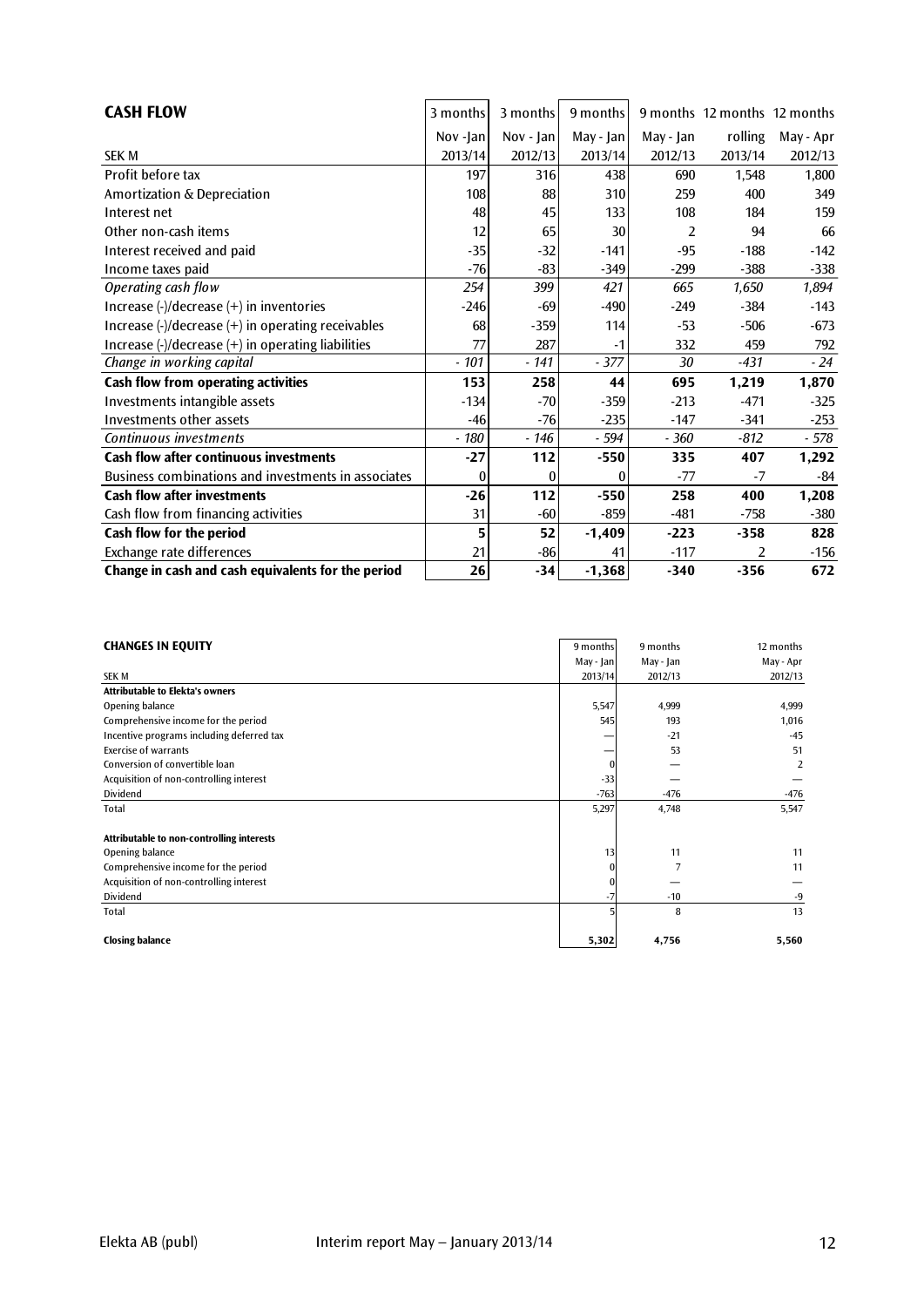| <b>CASH FLOW</b>                                                                                 | 3 months | 3 months     | 9 months  |           | 9 months 12 months 12 months |           |
|--------------------------------------------------------------------------------------------------|----------|--------------|-----------|-----------|------------------------------|-----------|
|                                                                                                  | Nov -Jan | $Nov -  an $ | May - Jan | May - Jan | rolling                      | May - Apr |
| <b>SEK M</b>                                                                                     | 2013/14  | 2012/13      | 2013/14   | 2012/13   | 2013/14                      | 2012/13   |
| Profit before tax                                                                                | 197      | 316          | 438       | 690       | 1,548                        | 1,800     |
| Amortization & Depreciation                                                                      | 108      | 88           | 310       | 259       | 400                          | 349       |
| Interest net                                                                                     | 48       | 45           | 133       | 108       | 184                          | 159       |
| Other non-cash items                                                                             | 12       | 65           | 30        | 2         | 94                           | 66        |
| Interest received and paid                                                                       | $-35$    | $-32$        | $-141$    | $-95$     | $-188$                       | $-142$    |
| Income taxes paid                                                                                | $-76$    | $-83$        | $-349$    | $-299$    | $-388$                       | $-338$    |
| Operating cash flow                                                                              | 254      | 399          | 421       | 665       | 1,650                        | 1,894     |
| Increase (-)/decrease (+) in inventories                                                         | $-246$   | $-69$        | $-490$    | $-249$    | $-384$                       | $-143$    |
| Increase $\left(\frac{1}{2}\right)$ decrease $\left(\frac{1}{2}\right)$ in operating receivables | 68       | $-359$       | 114       | $-53$     | $-506$                       | -673      |
| Increase $\left(\frac{1}{2}\right)$ decrease $\left(\frac{1}{2}\right)$ in operating liabilities | 77       | 287          | $-1$      | 332       | 459                          | 792       |
| Change in working capital                                                                        | $-101$   | $-141$       | $-377$    | 30        | $-431$                       | $-24$     |
| Cash flow from operating activities                                                              | 153      | 258          | 44        | 695       | 1,219                        | 1,870     |
| Investments intangible assets                                                                    | $-134$   | $-70$        | $-359$    | $-213$    | $-471$                       | $-325$    |
| Investments other assets                                                                         | $-46$    | $-76$        | $-235$    | $-147$    | $-341$                       | $-253$    |
| Continuous investments                                                                           | - 180    | $-146$       | - 594     | $-360$    | $-812$                       | $-578$    |
| <b>Cash flow after continuous investments</b>                                                    | $-27$    | 112          | $-550$    | 335       | 407                          | 1,292     |
| Business combinations and investments in associates                                              | $\theta$ | ſ            | 0         | $-77$     | $-7$                         | $-84$     |
| <b>Cash flow after investments</b>                                                               | $-26$    | 112          | $-550$    | 258       | 400                          | 1,208     |
| Cash flow from financing activities                                                              | 31       | $-60$        | $-859$    | $-481$    | $-758$                       | $-380$    |
| Cash flow for the period                                                                         | 5        | 52           | $-1,409$  | $-223$    | $-358$                       | 828       |
| Exchange rate differences                                                                        | 21       | $-86$        | 41        | $-117$    | 2                            | $-156$    |
| Change in cash and cash equivalents for the period                                               | 26       | $-34$        | $-1,368$  | $-340$    | $-356$                       | 672       |

| <b>CHANGES IN EQUITY</b>                  | 9 months  | 9 months  | 12 months |
|-------------------------------------------|-----------|-----------|-----------|
|                                           | May - Jan | May - Jan | May - Apr |
| <b>SEK M</b>                              | 2013/14   | 2012/13   | 2012/13   |
| <b>Attributable to Elekta's owners</b>    |           |           |           |
| Opening balance                           | 5,547     | 4,999     | 4,999     |
| Comprehensive income for the period       | 545       | 193       | 1,016     |
| Incentive programs including deferred tax |           | $-21$     | $-45$     |
| <b>Exercise of warrants</b>               |           | 53        | 51        |
| Conversion of convertible loan            |           |           | 2         |
| Acquisition of non-controlling interest   | $-33$     |           |           |
| Dividend                                  | $-763$    | $-476$    | -476      |
| Total                                     | 5,297     | 4,748     | 5,547     |
|                                           |           |           |           |
| Attributable to non-controlling interests |           |           |           |
| Opening balance                           | 13        | 11        | 11        |
| Comprehensive income for the period       |           |           | 11        |
| Acquisition of non-controlling interest   |           |           |           |
| Dividend                                  |           | $-10$     | $-9$      |
| Total                                     |           | 8         | 13        |
| <b>Closing balance</b>                    | 5,302     | 4,756     | 5,560     |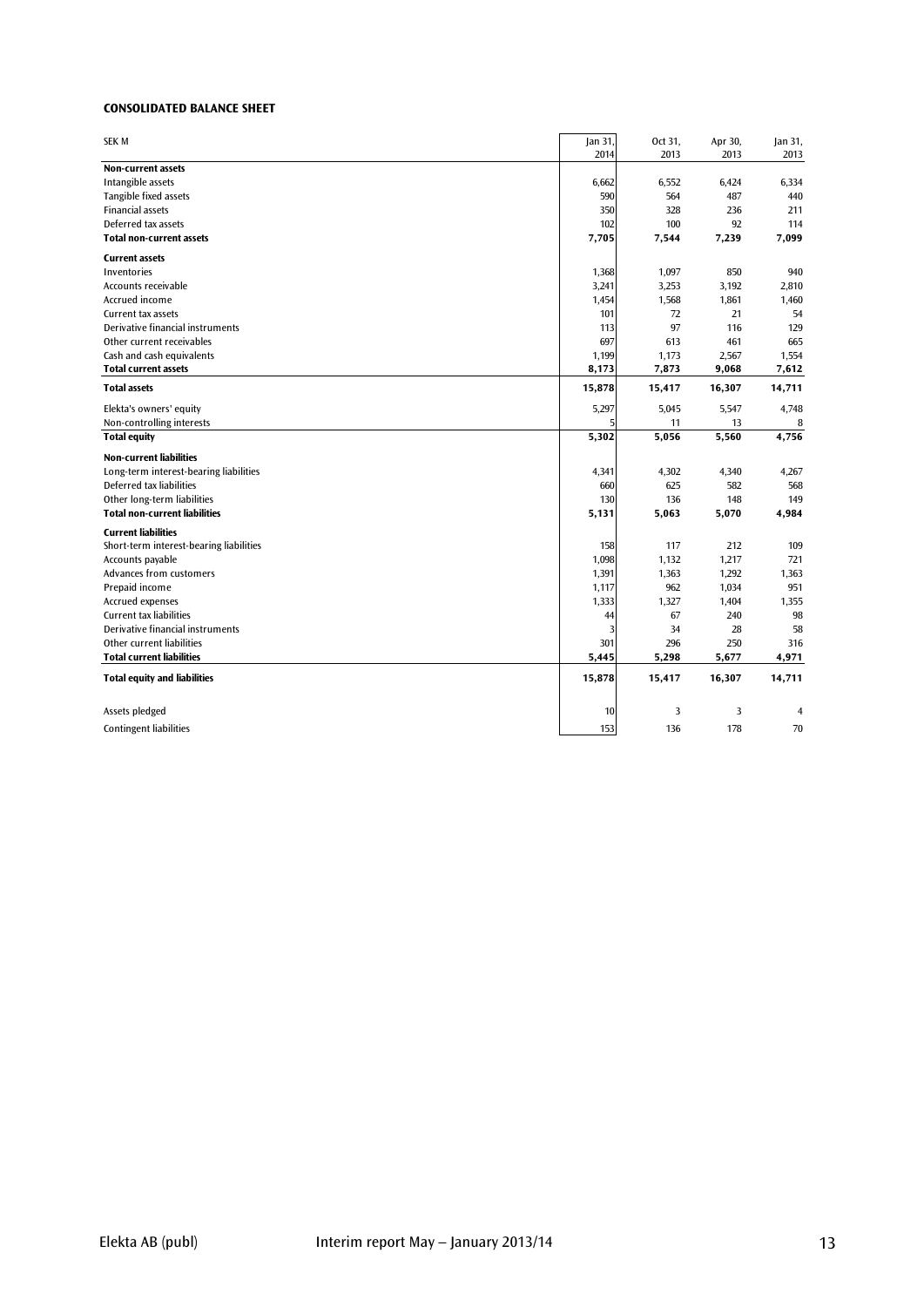#### **CONSOLIDATED BALANCE SHEET**

| <b>SEK M</b>                                    | Jan 31,   | Oct 31,  | Apr 30,  | Jan 31, |
|-------------------------------------------------|-----------|----------|----------|---------|
|                                                 | 2014      | 2013     | 2013     | 2013    |
| Non-current assets                              |           |          |          |         |
| Intangible assets                               | 6,662     | 6,552    | 6,424    | 6,334   |
| Tangible fixed assets                           | 590       | 564      | 487      | 440     |
| <b>Financial assets</b>                         | 350       | 328      | 236      | 211     |
| Deferred tax assets                             | 102       | 100      | 92       | 114     |
| Total non-current assets                        | 7,705     | 7,544    | 7,239    | 7,099   |
| <b>Current assets</b>                           |           |          |          |         |
| Inventories                                     | 1,368     | 1,097    | 850      | 940     |
| Accounts receivable                             | 3,241     | 3,253    | 3,192    | 2,810   |
| Accrued income                                  | 1,454     | 1,568    | 1,861    | 1,460   |
| Current tax assets                              | 101       | 72       | 21       | 54      |
| Derivative financial instruments                | 113       | 97       | 116      | 129     |
| Other current receivables                       | 697       | 613      | 461      | 665     |
| Cash and cash equivalents                       | 1,199     | 1,173    | 2,567    | 1,554   |
| <b>Total current assets</b>                     | 8,173     | 7,873    | 9,068    | 7,612   |
| <b>Total assets</b>                             | 15,878    | 15,417   | 16,307   | 14,711  |
| Elekta's owners' equity                         | 5,297     | 5,045    | 5,547    | 4,748   |
| Non-controlling interests                       | 5         | 11       | 13       | 8       |
| <b>Total equity</b>                             | 5,302     | 5,056    | 5,560    | 4,756   |
| <b>Non-current liabilities</b>                  |           |          |          |         |
| Long-term interest-bearing liabilities          | 4,341     | 4,302    | 4,340    | 4,267   |
| Deferred tax liabilities                        | 660       | 625      | 582      | 568     |
| Other long-term liabilities                     | 130       | 136      | 148      | 149     |
| <b>Total non-current liabilities</b>            | 5,131     | 5,063    | 5,070    | 4,984   |
| <b>Current liabilities</b>                      |           |          |          |         |
| Short-term interest-bearing liabilities         | 158       | 117      | 212      | 109     |
| Accounts payable                                | 1,098     | 1,132    | 1,217    | 721     |
| <b>Advances from customers</b>                  | 1,391     | 1,363    | 1,292    | 1,363   |
| Prepaid income                                  | 1,117     | 962      | 1,034    | 951     |
| Accrued expenses                                | 1,333     | 1,327    | 1,404    | 1,355   |
| <b>Current tax liabilities</b>                  | 44        | 67       | 240      | 98      |
| Derivative financial instruments                | 3         | 34       | 28       | 58      |
| Other current liabilities                       |           | 296      | 250      | 316     |
|                                                 | 301       |          |          |         |
| <b>Total current liabilities</b>                | 5,445     | 5,298    | 5,677    | 4,971   |
| <b>Total equity and liabilities</b>             | 15,878    | 15,417   | 16,307   | 14,711  |
|                                                 |           |          |          |         |
| Assets pledged<br><b>Contingent liabilities</b> | 10<br>153 | 3<br>136 | 3<br>178 | 4<br>70 |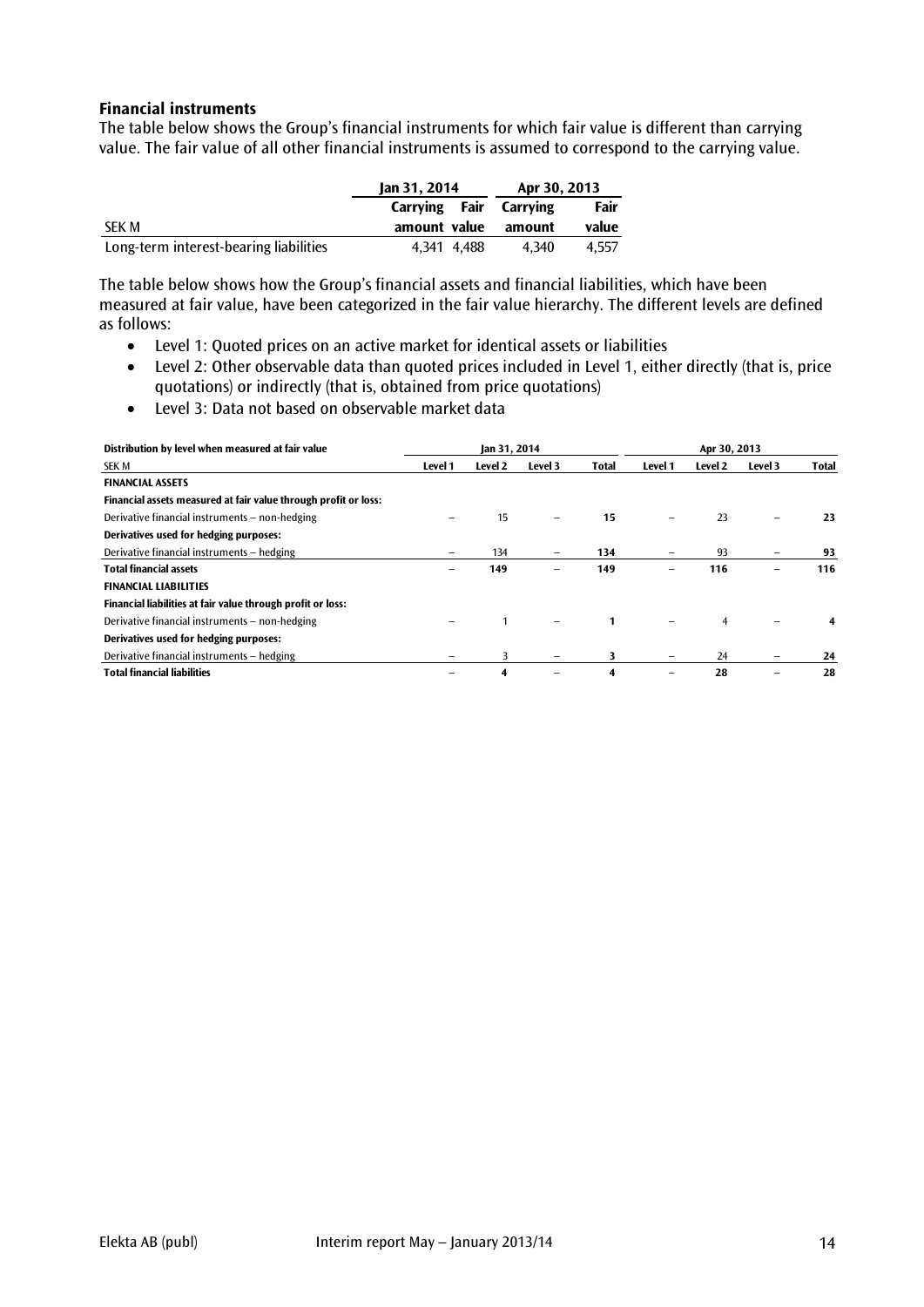# **Financial instruments**

The table below shows the Group's financial instruments for which fair value is different than carrying value. The fair value of all other financial instruments is assumed to correspond to the carrying value.

|                                        | Jan 31, 2014  | Apr 30, 2013 |       |  |
|----------------------------------------|---------------|--------------|-------|--|
|                                        | Carrying Fair | Carrving     | Fair  |  |
| SEK M                                  | amount value  | amount       | value |  |
| Long-term interest-bearing liabilities | 4.341 4.488   | 4.340        | 4.557 |  |

The table below shows how the Group's financial assets and financial liabilities, which have been measured at fair value, have been categorized in the fair value hierarchy. The different levels are defined as follows:

- Level 1: Quoted prices on an active market for identical assets or liabilities
- Level 2: Other observable data than quoted prices included in Level 1, either directly (that is, price quotations) or indirectly (that is, obtained from price quotations)
- Level 3: Data not based on observable market data

| Distribution by level when measured at fair value               | Jan 31, 2014 |         |         |              | Apr 30, 2013 |                |                          |              |
|-----------------------------------------------------------------|--------------|---------|---------|--------------|--------------|----------------|--------------------------|--------------|
| <b>SEK M</b>                                                    | Level 1      | Level 2 | Level 3 | <b>Total</b> | Level 1      | Level 2        | Level 3                  | <b>Total</b> |
| <b>FINANCIAL ASSETS</b>                                         |              |         |         |              |              |                |                          |              |
| Financial assets measured at fair value through profit or loss: |              |         |         |              |              |                |                          |              |
| Derivative financial instruments - non-hedging                  |              | 15      |         | 15           |              | 23             | -                        | 23           |
| Derivatives used for hedging purposes:                          |              |         |         |              |              |                |                          |              |
| Derivative financial instruments - hedging                      |              | 134     | -       | 134          |              | 93             |                          | 93           |
| <b>Total financial assets</b>                                   | -            | 149     | -       | 149          |              | 116            | -                        | 116          |
| <b>FINANCIAL LIABILITIES</b>                                    |              |         |         |              |              |                |                          |              |
| Financial liabilities at fair value through profit or loss:     |              |         |         |              |              |                |                          |              |
| Derivative financial instruments - non-hedging                  |              |         |         | $\mathbf{1}$ |              | $\overline{4}$ |                          |              |
| Derivatives used for hedging purposes:                          |              |         |         |              |              |                |                          |              |
| Derivative financial instruments - hedging                      |              | 3       |         | 3            |              | 24             | $\overline{\phantom{0}}$ | 24           |
| <b>Total financial liabilities</b>                              |              | 4       |         | 4            |              | 28             |                          | 28           |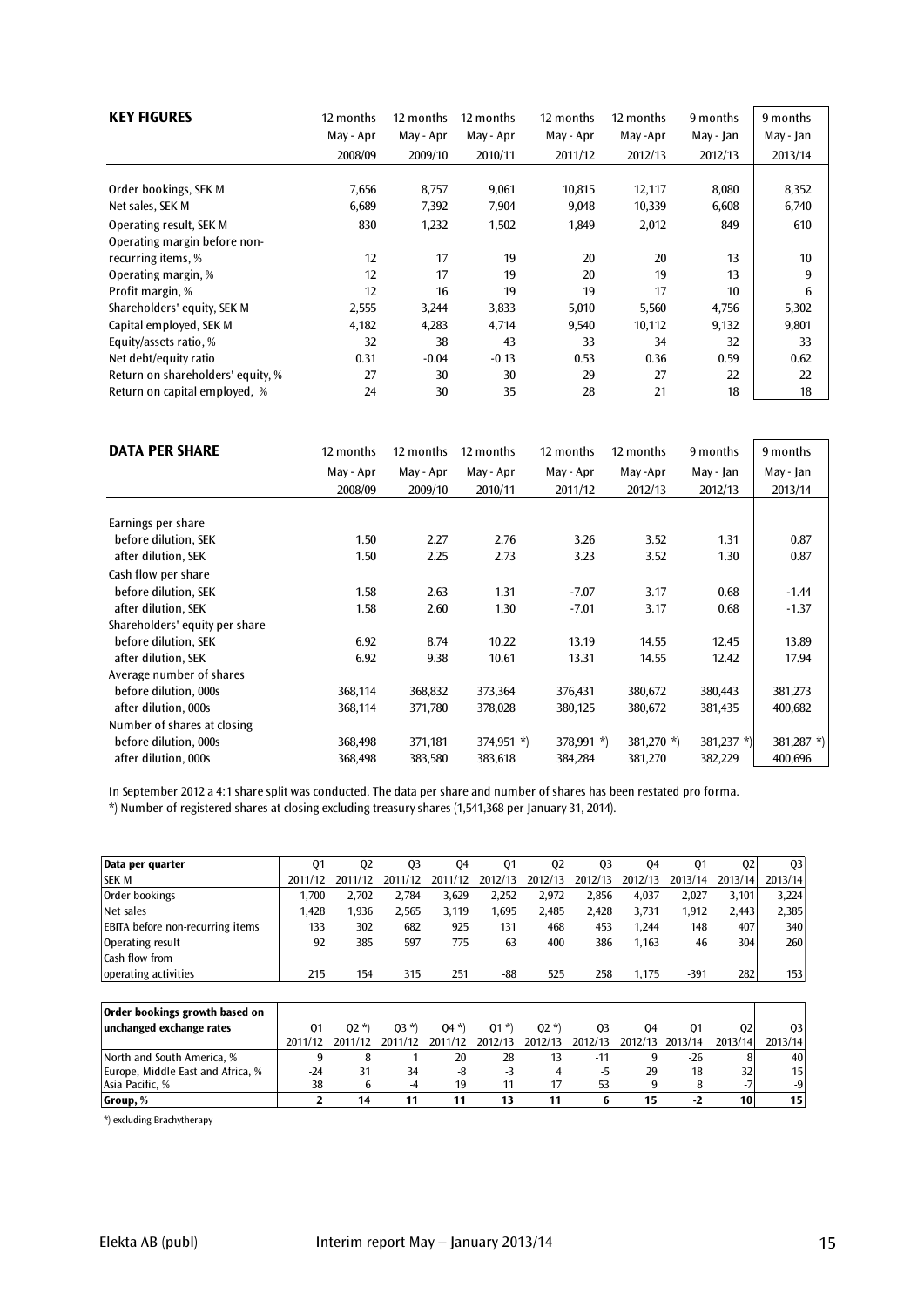| <b>KEY FIGURES</b>                        | 12 months<br>May - Apr<br>2008/09 | 12 months<br>May - Apr<br>2009/10 | 12 months<br>May - Apr<br>2010/11 | 12 months<br>May - Apr<br>2011/12 | 12 months<br>May-Apr<br>2012/13 | 9 months<br>May - Jan<br>2012/13 | 9 months<br>May - Jan |
|-------------------------------------------|-----------------------------------|-----------------------------------|-----------------------------------|-----------------------------------|---------------------------------|----------------------------------|-----------------------|
|                                           |                                   |                                   |                                   |                                   |                                 |                                  | 2013/14               |
| Order bookings, SEK M<br>Net sales, SEK M | 7,656<br>6,689                    | 8,757<br>7,392                    | 9,061<br>7,904                    | 10,815<br>9,048                   | 12,117<br>10,339                | 8,080<br>6,608                   | 8,352<br>6,740        |
| Operating result, SEK M                   | 830                               | 1,232                             | 1,502                             | 1,849                             | 2,012                           | 849                              | 610                   |
| Operating margin before non-              |                                   |                                   |                                   |                                   |                                 |                                  |                       |
| recurring items, %                        | 12                                | 17                                | 19                                | 20                                | 20                              | 13                               | 10                    |
| Operating margin, %                       | 12                                | 17                                | 19                                | 20                                | 19                              | 13                               | 9                     |
| Profit margin, %                          | 12                                | 16                                | 19                                | 19                                | 17                              | 10                               | 6                     |
| Shareholders' equity, SEK M               | 2,555                             | 3,244                             | 3,833                             | 5,010                             | 5,560                           | 4,756                            | 5,302                 |
| Capital employed, SEK M                   | 4,182                             | 4,283                             | 4,714                             | 9,540                             | 10,112                          | 9,132                            | 9,801                 |
| Equity/assets ratio, %                    | 32                                | 38                                | 43                                | 33                                | 34                              | 32                               | 33                    |
| Net debt/equity ratio                     | 0.31                              | $-0.04$                           | $-0.13$                           | 0.53                              | 0.36                            | 0.59                             | 0.62                  |
| Return on shareholders' equity, %         | 27                                | 30                                | 30                                | 29                                | 27                              | 22                               | 22                    |
| Return on capital employed, %             | 24                                | 30                                | 35                                | 28                                | 21                              | 18                               | 18                    |

| <b>DATA PER SHARE</b>          | 12 months | 12 months | 12 months    | 12 months    | 12 months     | 9 months      | 9 months      |
|--------------------------------|-----------|-----------|--------------|--------------|---------------|---------------|---------------|
|                                | May - Apr | May - Apr | May - Apr    | May - Apr    | May-Apr       | May - Jan     | May - Jan     |
|                                | 2008/09   | 2009/10   | 2010/11      | 2011/12      | 2012/13       | 2012/13       | 2013/14       |
| Earnings per share             |           |           |              |              |               |               |               |
|                                |           |           |              |              |               |               |               |
| before dilution, SEK           | 1.50      | 2.27      | 2.76         | 3.26         | 3.52          | 1.31          | 0.87          |
| after dilution, SEK            | 1.50      | 2.25      | 2.73         | 3.23         | 3.52          | 1.30          | 0.87          |
| Cash flow per share            |           |           |              |              |               |               |               |
| before dilution, SEK           | 1.58      | 2.63      | 1.31         | $-7.07$      | 3.17          | 0.68          | $-1.44$       |
| after dilution, SEK            | 1.58      | 2.60      | 1.30         | $-7.01$      | 3.17          | 0.68          | $-1.37$       |
| Shareholders' equity per share |           |           |              |              |               |               |               |
| before dilution, SEK           | 6.92      | 8.74      | 10.22        | 13.19        | 14.55         | 12.45         | 13.89         |
| after dilution, SEK            | 6.92      | 9.38      | 10.61        | 13.31        | 14.55         | 12.42         | 17.94         |
| Average number of shares       |           |           |              |              |               |               |               |
| before dilution, 000s          | 368,114   | 368,832   | 373,364      | 376,431      | 380,672       | 380,443       | 381,273       |
| after dilution, 000s           | 368,114   | 371,780   | 378,028      | 380,125      | 380,672       | 381,435       | 400,682       |
| Number of shares at closing    |           |           |              |              |               |               |               |
| before dilution, 000s          | 368,498   | 371,181   | $374,951$ *) | $378,991$ *) | 381,270 $*$ ) | 381,237 $*$ ) | 381,287 $*$ ) |
| after dilution, 000s           | 368,498   | 383,580   | 383,618      | 384,284      | 381,270       | 382,229       | 400,696       |

In September 2012 a 4:1 share split was conducted. The data per share and number of shares has been restated pro forma. \*) Number of registered shares at closing excluding treasury shares (1,541,368 per January 31, 2014).

| Data per quarter                        | Q1      | Q <sub>2</sub> | Q <sub>3</sub> | Q4      | Q1      | Q <sub>2</sub> | Q <sub>3</sub> | 04      | Q <sub>1</sub> | Q <sub>2</sub> | Q <sub>3</sub> |
|-----------------------------------------|---------|----------------|----------------|---------|---------|----------------|----------------|---------|----------------|----------------|----------------|
| <b>SEK M</b>                            | 2011/12 | 2011/12        | 2011/12        | 2011/12 | 2012/13 | 2012/13        | 2012/13        | 2012/13 | 2013/14        | 2013/14        | 2013/14        |
| Order bookings                          | 1.700   | 2,702          | 2.784          | 3,629   | 2,252   | 2,972          | 2,856          | 4,037   | 2,027          | 3,101          | 3,224          |
| Net sales                               | 1,428   | 1,936          | 2,565          | 3,119   | 1,695   | 2,485          | 2,428          | 3,731   | 1,912          | 2,443          | 2,385          |
| <b>EBITA</b> before non-recurring items | 133     | 302            | 682            | 925     | 131     | 468            | 453            | 1.244   | 148            | 407            | 340            |
| Operating result                        | 92      | 385            | 597            | 775     | 63      | 400            | 386            | 1,163   | 46             | 304            | 260            |
| Cash flow from                          |         |                |                |         |         |                |                |         |                |                |                |
| operating activities                    | 215     | 154            | 315            | 251     | -88     | 525            | 258            | 1,175   | $-391$         | 282            | 153            |
|                                         |         |                |                |         |         |                |                |         |                |                |                |
| Order bookings growth based on          |         |                |                |         |         |                |                |         |                |                |                |
| unchanged exchange rates                | Q1      | $02 *$         | $03 *$         | $04 *$  | $Q1 *$  | $Q2 *$         | 03             | 04      | 01             | Q <sub>2</sub> | Q <sub>3</sub> |
|                                         | 2011/12 | 2011/12        | 2011/12        | 2011/12 | 2012/13 | 2012/13        | 2012/13        | 2012/13 | 2013/14        | 2013/14        | 2013/14        |
| North and South America. %              | 9       | 8              |                | 20      | 28      | 13             | $-11$          | 9       | $-26$          | 8              | 40             |
| Europe, Middle East and Africa, %       | $-24$   | 31             | 34             | -8      | $-3$    | 4              | -5             | 29      | 18             | 32             | 15             |
| Asia Pacific, %                         | 38      | 6              | $-4$           | 19      | 11      | 17             | 53             | 9       | 8              | $-7$           | $-9$           |
| Group, %                                | 2       | 14             | 11             | 11      | 13      | 11             | 6              | 15      | -2             | 10             | 15             |

\*) excluding Brachytherapy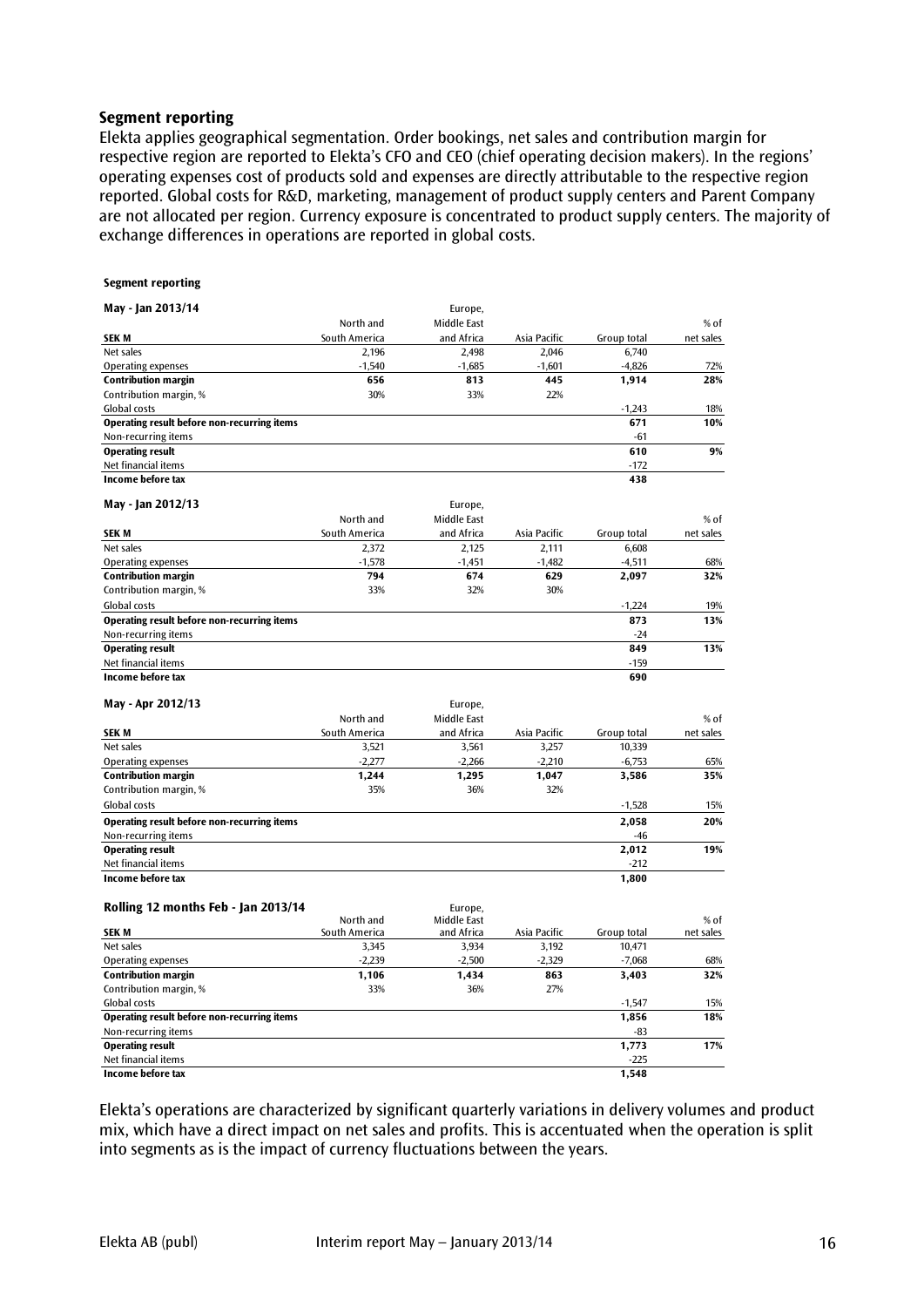# **Segment reporting**

Elekta applies geographical segmentation. Order bookings, net sales and contribution margin for respective region are reported to Elekta's CFO and CEO (chief operating decision makers). In the regions' operating expenses cost of products sold and expenses are directly attributable to the respective region reported. Global costs for R&D, marketing, management of product supply centers and Parent Company are not allocated per region. Currency exposure is concentrated to product supply centers. The majority of exchange differences in operations are reported in global costs.

#### **Segment reporting**

| May - Jan 2013/14                                  |               | Europe,     |              |             |           |
|----------------------------------------------------|---------------|-------------|--------------|-------------|-----------|
|                                                    | North and     | Middle East |              |             | $%$ of    |
| <b>SEK M</b>                                       | South America | and Africa  | Asia Pacific | Group total | net sales |
| Net sales                                          | 2,196         | 2,498       | 2,046        | 6,740       |           |
| Operating expenses                                 | $-1,540$      | $-1,685$    | $-1,601$     | $-4,826$    | 72%       |
| <b>Contribution margin</b>                         | 656           | 813         | 445          | 1,914       | 28%       |
| Contribution margin, %                             | 30%           | 33%         | 22%          |             |           |
| Global costs                                       |               |             |              | $-1,243$    | 18%       |
| <b>Operating result before non-recurring items</b> |               |             |              | 671         | 10%       |
| Non-recurring items                                |               |             |              | $-61$       |           |
| <b>Operating result</b>                            |               |             |              | 610         | 9%        |
| Net financial items                                |               |             |              | $-172$      |           |
| Income before tax                                  |               |             |              | 438         |           |
| May - Jan 2012/13                                  |               | Europe,     |              |             |           |
|                                                    | North and     | Middle East |              |             | % of      |
| <b>SEK M</b>                                       | South America | and Africa  | Asia Pacific | Group total | net sales |
| Net sales                                          | 2,372         | 2,125       | 2.111        | 6,608       |           |
| <b>Operating expenses</b>                          | $-1,578$      | $-1,451$    | $-1,482$     | $-4,511$    | 68%       |
| <b>Contribution margin</b>                         | 794           | 674         | 629          | 2,097       | 32%       |
| Contribution margin, %                             | 33%           | 32%         | 30%          |             |           |
| <b>Global costs</b>                                |               |             |              | $-1,224$    | 19%       |
| <b>Operating result before non-recurring items</b> |               |             |              | 873         | 13%       |
| Non-recurring items                                |               |             |              | $-24$       |           |
| <b>Operating result</b>                            |               |             |              | 849         | 13%       |
| Net financial items                                |               |             |              | $-159$      |           |
| Income before tax                                  |               |             |              | 690         |           |
| May - Apr 2012/13                                  |               | Europe,     |              |             |           |
|                                                    | North and     | Middle East |              |             | % of      |
| <b>SEK M</b>                                       | South America | and Africa  | Asia Pacific | Group total | net sales |
| Net sales                                          | 3,521         | 3,561       | 3,257        | 10,339      |           |
| Operating expenses                                 | $-2,277$      | $-2,266$    | $-2,210$     | $-6,753$    | 65%       |
| <b>Contribution margin</b>                         | 1,244         | 1,295       | 1,047        | 3,586       | 35%       |
| Contribution margin, %                             | 35%           | 36%         | 32%          |             |           |
| Global costs                                       |               |             |              | $-1,528$    | 15%       |
| <b>Operating result before non-recurring items</b> |               |             |              | 2,058       | 20%       |
| Non-recurring items                                |               |             |              | $-46$       |           |
| <b>Operating result</b>                            |               |             |              | 2,012       | 19%       |
| Net financial items                                |               |             |              | $-212$      |           |
| Income before tax                                  |               |             |              | 1,800       |           |
| Rolling 12 months Feb - Jan 2013/14                |               | Europe,     |              |             |           |
|                                                    | North and     | Middle East |              |             | $%$ of    |
| <b>SEK M</b>                                       | South America | and Africa  | Asia Pacific | Group total | net sales |
| Net sales                                          | 3,345         | 3,934       | 3,192        | 10,471      |           |
| Operating expenses                                 | $-2,239$      | $-2,500$    | $-2,329$     | $-7,068$    | 68%       |
| <b>Contribution margin</b>                         | 1,106         | 1,434       | 863          | 3,403       | 32%       |
| Contribution margin, %                             | 33%           | 36%         | 27%          |             |           |
| Global costs                                       |               |             |              | $-1,547$    | 15%       |

Non-recurring items and the set of the set of the set of the set of the set of the set of the set of the set of the set of the set of the set of the set of the set of the set of the set of the set of the set of the set of **Operating result 1,773 17%** Net financial items and the set of the set of the set of the set of the set of the set of the set of the set of the set of the set of the set of the set of the set of the set of the set of the set of the set of the set of

**Income before tax** 

Elekta's operations are characterized by significant quarterly variations in delivery volumes and product mix, which have a direct impact on net sales and profits. This is accentuated when the operation is split into segments as is the impact of currency fluctuations between the years.

**Operating result before non-recurring items 1,856 18%**